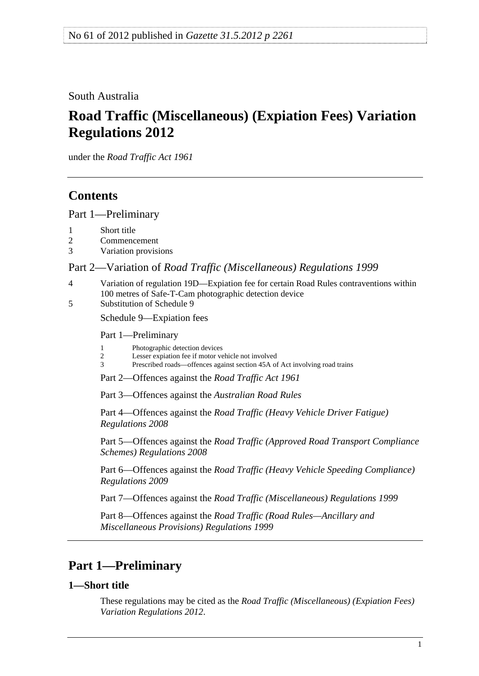<span id="page-0-0"></span>South Australia

# **Road Traffic (Miscellaneous) (Expiation Fees) Variation Regulations 2012**

under the *Road Traffic Act 1961*

## **Contents**

[Part 1—Preliminary](#page-0-0)

- [2 Commencement](#page-1-0)
- [3 Variation provisions](#page-1-0)

### Part 2—Variation of *[Road Traffic \(Miscellaneous\) Regulations 1999](#page-1-0)*

- [4 Variation of regulation 19D—Expiation fee for certain Road Rules contraventions within](#page-1-0)  [100 metres of Safe-T-Cam photographic detection device](#page-1-0)
- [5 Substitution of Schedule 9](#page-1-0)

[Schedule 9—Expiation fees](#page-0-0) 

[Part 1—Preliminary](#page-0-0) 

- [1 Photographic detection devices](#page-0-0)
- [2 Lesser expiation fee if motor vehicle not involved](#page-0-0)
- [3 Prescribed roads—offences against section 45A of Act involving road trains](#page-0-0)
- [Part 2—Offences against the](#page-0-0) *Road Traffic Act 1961*

[Part 3—Offences against the](#page-0-0) *Australian Road Rules*

Part 4—Offences against the *[Road Traffic \(Heavy Vehicle Driver Fatigue\)](#page-0-0)  [Regulations 2008](#page-0-0)*

Part 5—Offences against the *[Road Traffic \(Approved Road Transport Compliance](#page-0-0)  [Schemes\) Regulations 2008](#page-0-0)*

Part 6—Offences against the *[Road Traffic \(Heavy Vehicle Speeding Compliance\)](#page-0-0)  [Regulations 2009](#page-0-0)*

Part 7—Offences against the *[Road Traffic \(Miscellaneous\) Regulations 1999](#page-0-0)*

Part 8—Offences against the *[Road Traffic \(Road Rules—Ancillary and](#page-0-0)  [Miscellaneous Provisions\) Regulations 1999](#page-0-0)*

## **Part 1—Preliminary**

### **1—Short title**

These regulations may be cited as the *Road Traffic (Miscellaneous) (Expiation Fees) Variation Regulations 2012*.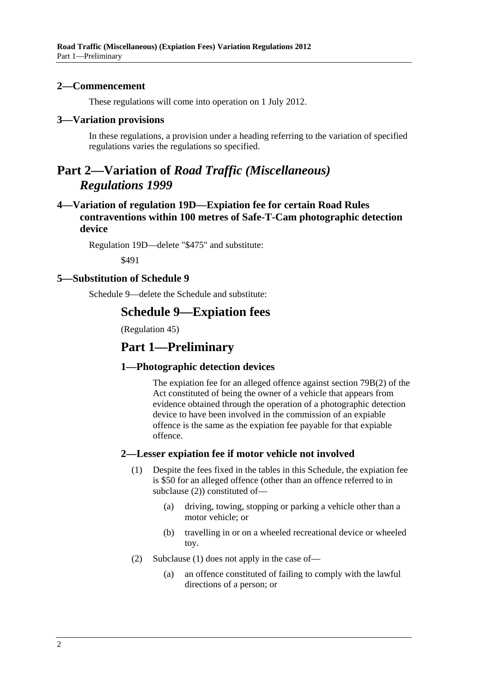#### <span id="page-1-0"></span>**2—Commencement**

These regulations will come into operation on 1 July 2012.

#### **3—Variation provisions**

In these regulations, a provision under a heading referring to the variation of specified regulations varies the regulations so specified.

### **Part 2—Variation of** *Road Traffic (Miscellaneous) Regulations 1999*

### **4—Variation of regulation 19D—Expiation fee for certain Road Rules contraventions within 100 metres of Safe-T-Cam photographic detection device**

Regulation 19D—delete "\$475" and substitute:

\$491

#### **5—Substitution of Schedule 9**

Schedule 9—delete the Schedule and substitute:

### **Schedule 9—Expiation fees**

(Regulation 45)

### **Part 1—Preliminary**

### **1—Photographic detection devices**

The expiation fee for an alleged offence against section 79B(2) of the Act constituted of being the owner of a vehicle that appears from evidence obtained through the operation of a photographic detection device to have been involved in the commission of an expiable offence is the same as the expiation fee payable for that expiable offence.

### **2—Lesser expiation fee if motor vehicle not involved**

- (1) Despite the fees fixed in the tables in this Schedule, the expiation fee is \$50 for an alleged offence (other than an offence referred to in [subclause \(2\)](#page-1-0)) constituted of—
	- (a) driving, towing, stopping or parking a vehicle other than a motor vehicle; or
	- (b) travelling in or on a wheeled recreational device or wheeled toy.
- (2) [Subclause \(1\)](#page-1-0) does not apply in the case of—
	- (a) an offence constituted of failing to comply with the lawful directions of a person; or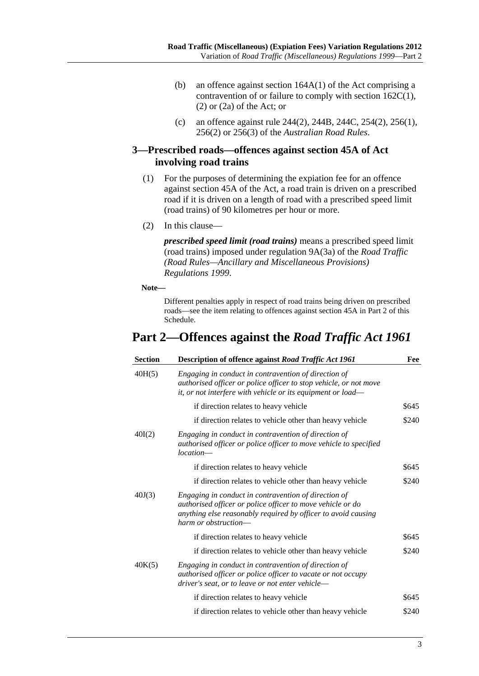- (b) an offence against section 164A(1) of the Act comprising a contravention of or failure to comply with section 162C(1), (2) or (2a) of the Act; or
- (c) an offence against rule 244(2), 244B, 244C, 254(2), 256(1), 256(2) or 256(3) of the *Australian Road Rules*.

### **3—Prescribed roads—offences against section 45A of Act involving road trains**

- (1) For the purposes of determining the expiation fee for an offence against section 45A of the Act, a road train is driven on a prescribed road if it is driven on a length of road with a prescribed speed limit (road trains) of 90 kilometres per hour or more.
- (2) In this clause—

*prescribed speed limit (road trains)* means a prescribed speed limit (road trains) imposed under regulation 9A(3a) of the *[Road Traffic](http://www.legislation.sa.gov.au/index.aspx?action=legref&type=subordleg&legtitle=Road%20Traffic%20(Road%20Rules%E2%80%94Ancillary%20and%20Miscellaneous%20Provisions)%20Regulations%201999)  [\(Road Rules—Ancillary and Miscellaneous Provisions\)](http://www.legislation.sa.gov.au/index.aspx?action=legref&type=subordleg&legtitle=Road%20Traffic%20(Road%20Rules%E2%80%94Ancillary%20and%20Miscellaneous%20Provisions)%20Regulations%201999)  [Regulations 1999](http://www.legislation.sa.gov.au/index.aspx?action=legref&type=subordleg&legtitle=Road%20Traffic%20(Road%20Rules%E2%80%94Ancillary%20and%20Miscellaneous%20Provisions)%20Regulations%201999)*.

**Note—** 

Different penalties apply in respect of road trains being driven on prescribed roads—see the item relating to offences against section 45A in [Part 2](#page-0-0) of this Schedule.

## **Part 2—Offences against the** *Road Traffic Act 1961*

| <b>Section</b> | Description of offence against Road Traffic Act 1961                                                                                                                                                        | Fee   |
|----------------|-------------------------------------------------------------------------------------------------------------------------------------------------------------------------------------------------------------|-------|
| 40H(5)         | Engaging in conduct in contravention of direction of<br>authorised officer or police officer to stop vehicle, or not move<br>it, or not interfere with vehicle or its equipment or load-                    |       |
|                | if direction relates to heavy vehicle                                                                                                                                                                       | \$645 |
|                | if direction relates to vehicle other than heavy vehicle                                                                                                                                                    | \$240 |
| 40I(2)         | Engaging in conduct in contravention of direction of<br>authorised officer or police officer to move vehicle to specified<br>$location-$                                                                    |       |
|                | if direction relates to heavy vehicle                                                                                                                                                                       | \$645 |
|                | if direction relates to vehicle other than heavy vehicle                                                                                                                                                    | \$240 |
| 40J(3)         | Engaging in conduct in contravention of direction of<br>authorised officer or police officer to move vehicle or do<br>anything else reasonably required by officer to avoid causing<br>harm or obstruction— |       |
|                | if direction relates to heavy vehicle                                                                                                                                                                       | \$645 |
|                | if direction relates to vehicle other than heavy vehicle                                                                                                                                                    | \$240 |
| 40K(5)         | Engaging in conduct in contravention of direction of<br>authorised officer or police officer to vacate or not occupy<br>driver's seat, or to leave or not enter vehicle—                                    |       |
|                | if direction relates to heavy vehicle                                                                                                                                                                       | \$645 |
|                | if direction relates to vehicle other than heavy vehicle                                                                                                                                                    | \$240 |
|                |                                                                                                                                                                                                             |       |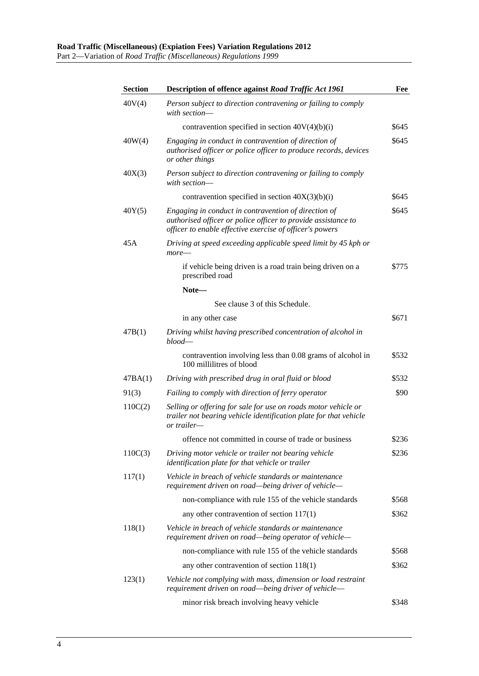| <b>Section</b> | <b>Description of offence against Road Traffic Act 1961</b>                                                                                                                       | Fee   |
|----------------|-----------------------------------------------------------------------------------------------------------------------------------------------------------------------------------|-------|
| 40V(4)         | Person subject to direction contravening or failing to comply<br>with section—                                                                                                    |       |
|                | contravention specified in section $40V(4)(b)(i)$                                                                                                                                 | \$645 |
| 40W(4)         | Engaging in conduct in contravention of direction of<br>authorised officer or police officer to produce records, devices<br>or other things                                       | \$645 |
| 40X(3)         | Person subject to direction contravening or failing to comply<br>with section-                                                                                                    |       |
|                | contravention specified in section $40X(3)(b)(i)$                                                                                                                                 | \$645 |
| 40Y(5)         | Engaging in conduct in contravention of direction of<br>authorised officer or police officer to provide assistance to<br>officer to enable effective exercise of officer's powers | \$645 |
| 45A            | Driving at speed exceeding applicable speed limit by 45 kph or<br>$more-$                                                                                                         |       |
|                | if vehicle being driven is a road train being driven on a<br>prescribed road                                                                                                      | \$775 |
|                | Note-                                                                                                                                                                             |       |
|                | See clause 3 of this Schedule.                                                                                                                                                    |       |
|                | in any other case                                                                                                                                                                 | \$671 |
| 47B(1)         | Driving whilst having prescribed concentration of alcohol in<br>$blood$                                                                                                           |       |
|                | contravention involving less than 0.08 grams of alcohol in<br>100 millilitres of blood                                                                                            | \$532 |
| 47BA(1)        | Driving with prescribed drug in oral fluid or blood                                                                                                                               | \$532 |
| 91(3)          | Failing to comply with direction of ferry operator                                                                                                                                | \$90  |
| 110C(2)        | Selling or offering for sale for use on roads motor vehicle or<br>trailer not bearing vehicle identification plate for that vehicle<br>or trailer—                                |       |
|                | offence not committed in course of trade or business                                                                                                                              | \$236 |
| 110C(3)        | Driving motor vehicle or trailer not bearing vehicle<br>identification plate for that vehicle or trailer                                                                          | \$236 |
| 117(1)         | Vehicle in breach of vehicle standards or maintenance<br>requirement driven on road—being driver of vehicle—                                                                      |       |
|                | non-compliance with rule 155 of the vehicle standards                                                                                                                             | \$568 |
|                | any other contravention of section $117(1)$                                                                                                                                       | \$362 |
| 118(1)         | Vehicle in breach of vehicle standards or maintenance<br>requirement driven on road—being operator of vehicle—                                                                    |       |
|                | non-compliance with rule 155 of the vehicle standards                                                                                                                             | \$568 |
|                | any other contravention of section $118(1)$                                                                                                                                       | \$362 |
| 123(1)         | Vehicle not complying with mass, dimension or load restraint<br>requirement driven on road—being driver of vehicle—                                                               |       |
|                | minor risk breach involving heavy vehicle                                                                                                                                         | \$348 |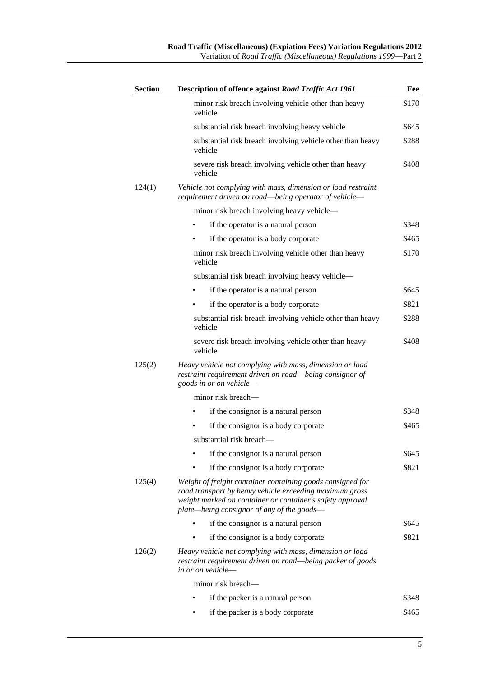| <b>Section</b> | Description of offence against Road Traffic Act 1961                                                                                                                                                                             | Fee   |
|----------------|----------------------------------------------------------------------------------------------------------------------------------------------------------------------------------------------------------------------------------|-------|
|                | minor risk breach involving vehicle other than heavy<br>vehicle                                                                                                                                                                  | \$170 |
|                | substantial risk breach involving heavy vehicle                                                                                                                                                                                  | \$645 |
|                | substantial risk breach involving vehicle other than heavy<br>vehicle                                                                                                                                                            | \$288 |
|                | severe risk breach involving vehicle other than heavy<br>vehicle                                                                                                                                                                 | \$408 |
| 124(1)         | Vehicle not complying with mass, dimension or load restraint<br>requirement driven on road—being operator of vehicle—                                                                                                            |       |
|                | minor risk breach involving heavy vehicle—                                                                                                                                                                                       |       |
|                | if the operator is a natural person                                                                                                                                                                                              | \$348 |
|                | if the operator is a body corporate                                                                                                                                                                                              | \$465 |
|                | minor risk breach involving vehicle other than heavy<br>vehicle                                                                                                                                                                  | \$170 |
|                | substantial risk breach involving heavy vehicle-                                                                                                                                                                                 |       |
|                | if the operator is a natural person                                                                                                                                                                                              | \$645 |
|                | if the operator is a body corporate                                                                                                                                                                                              | \$821 |
|                | substantial risk breach involving vehicle other than heavy<br>vehicle                                                                                                                                                            | \$288 |
|                | severe risk breach involving vehicle other than heavy<br>vehicle                                                                                                                                                                 | \$408 |
| 125(2)         | Heavy vehicle not complying with mass, dimension or load<br>restraint requirement driven on road—being consignor of<br>goods in or on vehicle-                                                                                   |       |
|                | minor risk breach—                                                                                                                                                                                                               |       |
|                | if the consignor is a natural person                                                                                                                                                                                             | \$348 |
|                | if the consignor is a body corporate                                                                                                                                                                                             | \$465 |
|                | substantial risk breach—                                                                                                                                                                                                         |       |
|                | if the consignor is a natural person                                                                                                                                                                                             | \$645 |
|                | if the consignor is a body corporate                                                                                                                                                                                             | \$821 |
| 125(4)         | Weight of freight container containing goods consigned for<br>road transport by heavy vehicle exceeding maximum gross<br>weight marked on container or container's safety approval<br>plate—being consignor of any of the goods— |       |
|                | if the consignor is a natural person                                                                                                                                                                                             | \$645 |
|                | if the consignor is a body corporate                                                                                                                                                                                             | \$821 |
| 126(2)         | Heavy vehicle not complying with mass, dimension or load<br>restraint requirement driven on road—being packer of goods<br>in or on vehicle—                                                                                      |       |
|                | minor risk breach-                                                                                                                                                                                                               |       |
|                | if the packer is a natural person                                                                                                                                                                                                | \$348 |
|                | if the packer is a body corporate                                                                                                                                                                                                | \$465 |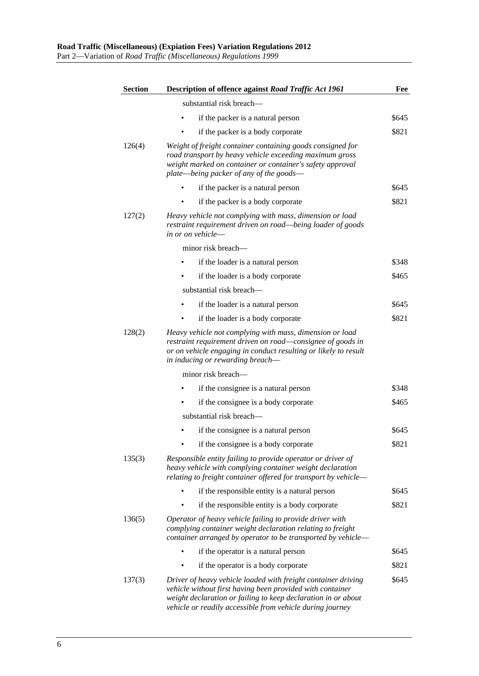| <b>Section</b> | <b>Description of offence against Road Traffic Act 1961</b>                                                                                                                                                                                              | Fee   |
|----------------|----------------------------------------------------------------------------------------------------------------------------------------------------------------------------------------------------------------------------------------------------------|-------|
|                | substantial risk breach—                                                                                                                                                                                                                                 |       |
|                | if the packer is a natural person                                                                                                                                                                                                                        | \$645 |
|                | if the packer is a body corporate                                                                                                                                                                                                                        | \$821 |
| 126(4)         | Weight of freight container containing goods consigned for<br>road transport by heavy vehicle exceeding maximum gross<br>weight marked on container or container's safety approval<br>plate—being packer of any of the goods—                            |       |
|                | if the packer is a natural person                                                                                                                                                                                                                        | \$645 |
|                | if the packer is a body corporate                                                                                                                                                                                                                        | \$821 |
| 127(2)         | Heavy vehicle not complying with mass, dimension or load<br>restraint requirement driven on road—being loader of goods<br>in or on vehicle—                                                                                                              |       |
|                | minor risk breach-                                                                                                                                                                                                                                       |       |
|                | if the loader is a natural person                                                                                                                                                                                                                        | \$348 |
|                | if the loader is a body corporate                                                                                                                                                                                                                        | \$465 |
|                | substantial risk breach-                                                                                                                                                                                                                                 |       |
|                | if the loader is a natural person                                                                                                                                                                                                                        | \$645 |
|                | if the loader is a body corporate                                                                                                                                                                                                                        | \$821 |
| 128(2)         | Heavy vehicle not complying with mass, dimension or load<br>restraint requirement driven on road—consignee of goods in<br>or on vehicle engaging in conduct resulting or likely to result<br>in inducing or rewarding breach-                            |       |
|                | minor risk breach-                                                                                                                                                                                                                                       |       |
|                | if the consignee is a natural person                                                                                                                                                                                                                     | \$348 |
|                | if the consignee is a body corporate                                                                                                                                                                                                                     | \$465 |
|                | substantial risk breach—                                                                                                                                                                                                                                 |       |
|                | if the consignee is a natural person                                                                                                                                                                                                                     | \$645 |
|                | if the consignee is a body corporate                                                                                                                                                                                                                     | \$821 |
| 135(3)         | Responsible entity failing to provide operator or driver of<br>heavy vehicle with complying container weight declaration<br>relating to freight container offered for transport by vehicle—                                                              |       |
|                | if the responsible entity is a natural person                                                                                                                                                                                                            | \$645 |
|                | if the responsible entity is a body corporate                                                                                                                                                                                                            | \$821 |
| 136(5)         | Operator of heavy vehicle failing to provide driver with<br>complying container weight declaration relating to freight<br>container arranged by operator to be transported by vehicle-                                                                   |       |
|                | if the operator is a natural person                                                                                                                                                                                                                      | \$645 |
|                | if the operator is a body corporate                                                                                                                                                                                                                      | \$821 |
| 137(3)         | Driver of heavy vehicle loaded with freight container driving<br>vehicle without first having been provided with container<br>weight declaration or failing to keep declaration in or about<br>vehicle or readily accessible from vehicle during journey | \$645 |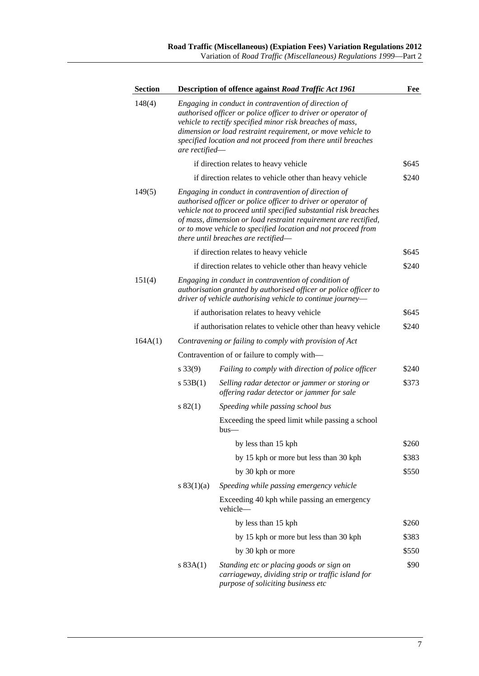| Section |                | Description of offence against Road Traffic Act 1961                                                                                                                                                                                                                                                                                                                 | Fee   |
|---------|----------------|----------------------------------------------------------------------------------------------------------------------------------------------------------------------------------------------------------------------------------------------------------------------------------------------------------------------------------------------------------------------|-------|
| 148(4)  | are rectified— | Engaging in conduct in contravention of direction of<br>authorised officer or police officer to driver or operator of<br>vehicle to rectify specified minor risk breaches of mass,<br>dimension or load restraint requirement, or move vehicle to<br>specified location and not proceed from there until breaches                                                    |       |
|         |                | if direction relates to heavy vehicle                                                                                                                                                                                                                                                                                                                                | \$645 |
|         |                | if direction relates to vehicle other than heavy vehicle                                                                                                                                                                                                                                                                                                             | \$240 |
| 149(5)  |                | Engaging in conduct in contravention of direction of<br>authorised officer or police officer to driver or operator of<br>vehicle not to proceed until specified substantial risk breaches<br>of mass, dimension or load restraint requirement are rectified,<br>or to move vehicle to specified location and not proceed from<br>there until breaches are rectified— |       |
|         |                | if direction relates to heavy vehicle                                                                                                                                                                                                                                                                                                                                | \$645 |
|         |                | if direction relates to vehicle other than heavy vehicle                                                                                                                                                                                                                                                                                                             | \$240 |
| 151(4)  |                | Engaging in conduct in contravention of condition of<br>authorisation granted by authorised officer or police officer to<br>driver of vehicle authorising vehicle to continue journey-                                                                                                                                                                               |       |
|         |                | if authorisation relates to heavy vehicle                                                                                                                                                                                                                                                                                                                            | \$645 |
|         |                | if authorisation relates to vehicle other than heavy vehicle                                                                                                                                                                                                                                                                                                         | \$240 |
| 164A(1) |                | Contravening or failing to comply with provision of Act                                                                                                                                                                                                                                                                                                              |       |
|         |                | Contravention of or failure to comply with-                                                                                                                                                                                                                                                                                                                          |       |
|         | $s\,33(9)$     | Failing to comply with direction of police officer                                                                                                                                                                                                                                                                                                                   | \$240 |
|         | s 53B(1)       | Selling radar detector or jammer or storing or<br>offering radar detector or jammer for sale                                                                                                                                                                                                                                                                         | \$373 |
|         | s 82(1)        | Speeding while passing school bus                                                                                                                                                                                                                                                                                                                                    |       |
|         |                | Exceeding the speed limit while passing a school<br>bus-                                                                                                                                                                                                                                                                                                             |       |
|         |                | by less than 15 kph                                                                                                                                                                                                                                                                                                                                                  | \$260 |
|         |                | by 15 kph or more but less than 30 kph                                                                                                                                                                                                                                                                                                                               | \$383 |
|         |                | by 30 kph or more                                                                                                                                                                                                                                                                                                                                                    | \$550 |
|         | s $83(1)(a)$   | Speeding while passing emergency vehicle                                                                                                                                                                                                                                                                                                                             |       |
|         |                | Exceeding 40 kph while passing an emergency<br>vehicle-                                                                                                                                                                                                                                                                                                              |       |
|         |                | by less than 15 kph                                                                                                                                                                                                                                                                                                                                                  | \$260 |
|         |                | by 15 kph or more but less than 30 kph                                                                                                                                                                                                                                                                                                                               | \$383 |
|         |                | by 30 kph or more                                                                                                                                                                                                                                                                                                                                                    | \$550 |
|         | s 83A(1)       | Standing etc or placing goods or sign on<br>carriageway, dividing strip or traffic island for<br>purpose of soliciting business etc                                                                                                                                                                                                                                  | \$90  |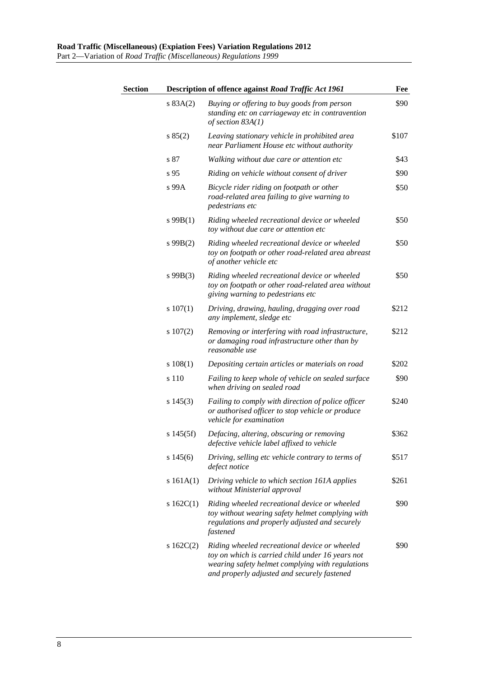| Section |               | Description of offence against Road Traffic Act 1961                                                                                                                                                 | Fee   |
|---------|---------------|------------------------------------------------------------------------------------------------------------------------------------------------------------------------------------------------------|-------|
|         | s 83A(2)      | Buying or offering to buy goods from person<br>standing etc on carriageway etc in contravention<br>of section $83A(1)$                                                                               | \$90  |
|         | s 85(2)       | Leaving stationary vehicle in prohibited area<br>near Parliament House etc without authority                                                                                                         | \$107 |
|         | s 87          | Walking without due care or attention etc                                                                                                                                                            | \$43  |
|         | s 95          | Riding on vehicle without consent of driver                                                                                                                                                          | \$90  |
|         | s 99A         | Bicycle rider riding on footpath or other<br>road-related area failing to give warning to<br><i>pedestrians etc</i>                                                                                  | \$50  |
|         | $s$ 99 $B(1)$ | Riding wheeled recreational device or wheeled<br>toy without due care or attention etc                                                                                                               | \$50  |
|         | $s\,99B(2)$   | Riding wheeled recreational device or wheeled<br>toy on footpath or other road-related area abreast<br>of another vehicle etc                                                                        | \$50  |
|         | $s\,99B(3)$   | Riding wheeled recreational device or wheeled<br>toy on footpath or other road-related area without<br>giving warning to pedestrians etc                                                             | \$50  |
|         | $s\ 107(1)$   | Driving, drawing, hauling, dragging over road<br>any implement, sledge etc                                                                                                                           | \$212 |
|         | $s\ 107(2)$   | Removing or interfering with road infrastructure,<br>or damaging road infrastructure other than by<br>reasonable use                                                                                 | \$212 |
|         | $s\ 108(1)$   | Depositing certain articles or materials on road                                                                                                                                                     | \$202 |
|         | s 110         | Failing to keep whole of vehicle on sealed surface<br>when driving on sealed road                                                                                                                    | \$90  |
|         | $s\,145(3)$   | Failing to comply with direction of police officer<br>or authorised officer to stop vehicle or produce<br>vehicle for examination                                                                    | \$240 |
|         | $s\,145(5f)$  | Defacing, altering, obscuring or removing<br>defective vehicle label affixed to vehicle                                                                                                              | \$362 |
|         | s145(6)       | Driving, selling etc vehicle contrary to terms of<br>defect notice                                                                                                                                   | \$517 |
|         | s $161A(1)$   | Driving vehicle to which section 161A applies<br>without Ministerial approval                                                                                                                        | \$261 |
|         | s $162C(1)$   | Riding wheeled recreational device or wheeled<br>toy without wearing safety helmet complying with<br>regulations and properly adjusted and securely<br>fastened                                      | \$90  |
|         | s $162C(2)$   | Riding wheeled recreational device or wheeled<br>toy on which is carried child under 16 years not<br>wearing safety helmet complying with regulations<br>and properly adjusted and securely fastened | \$90  |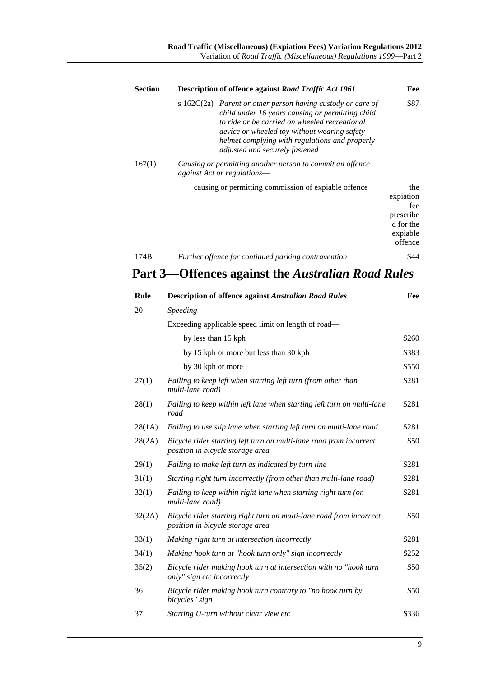| <b>Section</b> | Description of offence against Road Traffic Act 1961                                                                                                                                                                                                                                                   | Fee                                                                      |
|----------------|--------------------------------------------------------------------------------------------------------------------------------------------------------------------------------------------------------------------------------------------------------------------------------------------------------|--------------------------------------------------------------------------|
|                | s $162C(2a)$ Parent or other person having custody or care of<br>child under 16 years causing or permitting child<br>to ride or be carried on wheeled recreational<br>device or wheeled toy without wearing safety<br>helmet complying with regulations and properly<br>adjusted and securely fastened | \$87                                                                     |
| 167(1)         | Causing or permitting another person to commit an offence<br><i>against Act or regulations—</i>                                                                                                                                                                                                        |                                                                          |
|                | causing or permitting commission of expiable offence                                                                                                                                                                                                                                                   | the<br>expiation<br>fee<br>prescribe<br>d for the<br>expiable<br>offence |
| 174B           | Further offence for continued parking contravention                                                                                                                                                                                                                                                    | \$44                                                                     |

# **Part 3—Offences against the** *Australian Road Rules*

| Rule   | <b>Description of offence against Australian Road Rules</b>                                             | Fee   |
|--------|---------------------------------------------------------------------------------------------------------|-------|
| 20     | Speeding                                                                                                |       |
|        | Exceeding applicable speed limit on length of road—                                                     |       |
|        | by less than 15 kph                                                                                     | \$260 |
|        | by 15 kph or more but less than 30 kph                                                                  | \$383 |
|        | by 30 kph or more                                                                                       | \$550 |
| 27(1)  | Failing to keep left when starting left turn (from other than<br>multi-lane road)                       | \$281 |
| 28(1)  | Failing to keep within left lane when starting left turn on multi-lane<br>road                          | \$281 |
| 28(1A) | Failing to use slip lane when starting left turn on multi-lane road                                     | \$281 |
| 28(2A) | Bicycle rider starting left turn on multi-lane road from incorrect<br>position in bicycle storage area  | \$50  |
| 29(1)  | Failing to make left turn as indicated by turn line                                                     | \$281 |
| 31(1)  | Starting right turn incorrectly (from other than multi-lane road)                                       | \$281 |
| 32(1)  | Failing to keep within right lane when starting right turn (on<br>multi-lane road)                      | \$281 |
| 32(2A) | Bicycle rider starting right turn on multi-lane road from incorrect<br>position in bicycle storage area | \$50  |
| 33(1)  | Making right turn at intersection incorrectly                                                           | \$281 |
| 34(1)  | Making hook turn at "hook turn only" sign incorrectly                                                   | \$252 |
| 35(2)  | Bicycle rider making hook turn at intersection with no "hook turn<br>only" sign etc incorrectly         | \$50  |
| 36     | Bicycle rider making hook turn contrary to "no hook turn by<br>bicycles" sign                           | \$50  |
| 37     | Starting U-turn without clear view etc                                                                  | \$336 |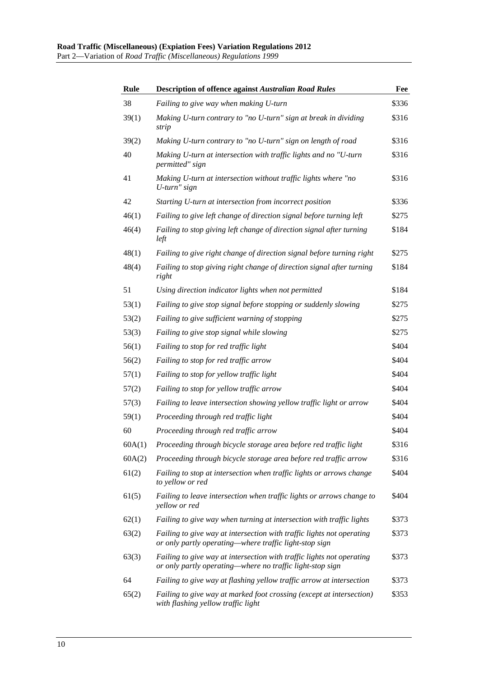| <b>Rule</b> | <b>Description of offence against Australian Road Rules</b>                                                                        | Fee   |
|-------------|------------------------------------------------------------------------------------------------------------------------------------|-------|
| 38          | Failing to give way when making U-turn                                                                                             | \$336 |
| 39(1)       | Making U-turn contrary to "no U-turn" sign at break in dividing<br>strip                                                           | \$316 |
| 39(2)       | Making U-turn contrary to "no U-turn" sign on length of road                                                                       | \$316 |
| 40          | Making U-turn at intersection with traffic lights and no "U-turn<br>permitted" sign                                                | \$316 |
| 41          | Making U-turn at intersection without traffic lights where "no<br>U-turn" sign                                                     | \$316 |
| 42          | Starting U-turn at intersection from incorrect position                                                                            | \$336 |
| 46(1)       | Failing to give left change of direction signal before turning left                                                                | \$275 |
| 46(4)       | Failing to stop giving left change of direction signal after turning<br>left                                                       | \$184 |
| 48(1)       | Failing to give right change of direction signal before turning right                                                              | \$275 |
| 48(4)       | Failing to stop giving right change of direction signal after turning<br>right                                                     | \$184 |
| 51          | Using direction indicator lights when not permitted                                                                                | \$184 |
| 53(1)       | Failing to give stop signal before stopping or suddenly slowing                                                                    | \$275 |
| 53(2)       | Failing to give sufficient warning of stopping                                                                                     | \$275 |
| 53(3)       | Failing to give stop signal while slowing                                                                                          | \$275 |
| 56(1)       | Failing to stop for red traffic light                                                                                              | \$404 |
| 56(2)       | Failing to stop for red traffic arrow                                                                                              | \$404 |
| 57(1)       | Failing to stop for yellow traffic light                                                                                           | \$404 |
| 57(2)       | Failing to stop for yellow traffic arrow                                                                                           | \$404 |
| 57(3)       | Failing to leave intersection showing yellow traffic light or arrow                                                                | \$404 |
| 59(1)       | Proceeding through red traffic light                                                                                               | \$404 |
| 60          | Proceeding through red traffic arrow                                                                                               | \$404 |
| 60A(1)      | Proceeding through bicycle storage area before red traffic light                                                                   | \$316 |
| 60A(2)      | Proceeding through bicycle storage area before red traffic arrow                                                                   | \$316 |
| 61(2)       | Failing to stop at intersection when traffic lights or arrows change<br>to yellow or red                                           | \$404 |
| 61(5)       | Failing to leave intersection when traffic lights or arrows change to<br>yellow or red                                             | \$404 |
| 62(1)       | Failing to give way when turning at intersection with traffic lights                                                               | \$373 |
| 63(2)       | Failing to give way at intersection with traffic lights not operating<br>or only partly operating—where traffic light-stop sign    | \$373 |
| 63(3)       | Failing to give way at intersection with traffic lights not operating<br>or only partly operating—where no traffic light-stop sign | \$373 |
| 64          | Failing to give way at flashing yellow traffic arrow at intersection                                                               | \$373 |
| 65(2)       | Failing to give way at marked foot crossing (except at intersection)<br>with flashing yellow traffic light                         | \$353 |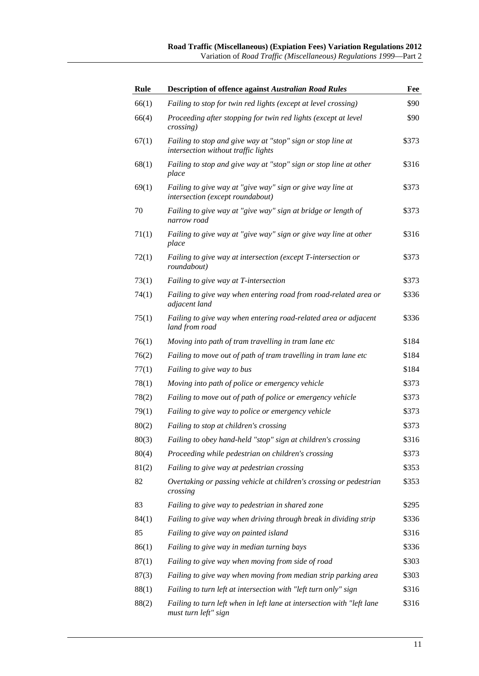| Rule  | <b>Description of offence against Australian Road Rules</b>                                        | Fee   |
|-------|----------------------------------------------------------------------------------------------------|-------|
| 66(1) | Failing to stop for twin red lights (except at level crossing)                                     | \$90  |
| 66(4) | Proceeding after stopping for twin red lights (except at level<br>crossing)                        | \$90  |
| 67(1) | Failing to stop and give way at "stop" sign or stop line at<br>intersection without traffic lights | \$373 |
| 68(1) | Failing to stop and give way at "stop" sign or stop line at other<br>place                         | \$316 |
| 69(1) | Failing to give way at "give way" sign or give way line at<br>intersection (except roundabout)     | \$373 |
| 70    | Failing to give way at "give way" sign at bridge or length of<br>narrow road                       | \$373 |
| 71(1) | Failing to give way at "give way" sign or give way line at other<br>place                          | \$316 |
| 72(1) | Failing to give way at intersection (except T-intersection or<br>roundabout)                       | \$373 |
| 73(1) | Failing to give way at T-intersection                                                              | \$373 |
| 74(1) | Failing to give way when entering road from road-related area or<br>adjacent land                  | \$336 |
| 75(1) | Failing to give way when entering road-related area or adjacent<br>land from road                  | \$336 |
| 76(1) | Moving into path of tram travelling in tram lane etc                                               | \$184 |
| 76(2) | Failing to move out of path of tram travelling in tram lane etc                                    | \$184 |
| 77(1) | Failing to give way to bus                                                                         | \$184 |
| 78(1) | Moving into path of police or emergency vehicle                                                    | \$373 |
| 78(2) | Failing to move out of path of police or emergency vehicle                                         | \$373 |
| 79(1) | Failing to give way to police or emergency vehicle                                                 | \$373 |
| 80(2) | Failing to stop at children's crossing                                                             | \$373 |
| 80(3) | Failing to obey hand-held "stop" sign at children's crossing                                       | \$316 |
| 80(4) | Proceeding while pedestrian on children's crossing                                                 | \$373 |
| 81(2) | Failing to give way at pedestrian crossing                                                         | \$353 |
| 82    | Overtaking or passing vehicle at children's crossing or pedestrian<br>crossing                     | \$353 |
| 83    | Failing to give way to pedestrian in shared zone                                                   | \$295 |
| 84(1) | Failing to give way when driving through break in dividing strip                                   | \$336 |
| 85    | Failing to give way on painted island                                                              | \$316 |
| 86(1) | Failing to give way in median turning bays                                                         | \$336 |
| 87(1) | Failing to give way when moving from side of road                                                  | \$303 |
| 87(3) | Failing to give way when moving from median strip parking area                                     | \$303 |
| 88(1) | Failing to turn left at intersection with "left turn only" sign                                    | \$316 |
| 88(2) | Failing to turn left when in left lane at intersection with "left lane<br>must turn left" sign     | \$316 |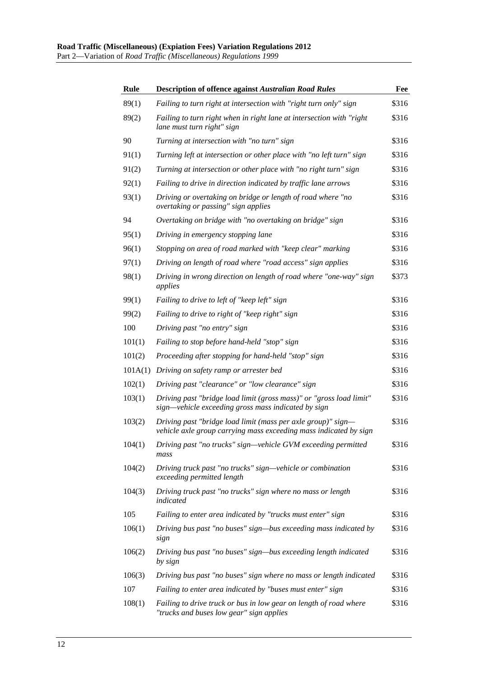| Rule    | <b>Description of offence against Australian Road Rules</b>                                                                       | Fee   |
|---------|-----------------------------------------------------------------------------------------------------------------------------------|-------|
| 89(1)   | Failing to turn right at intersection with "right turn only" sign                                                                 | \$316 |
| 89(2)   | Failing to turn right when in right lane at intersection with "right<br>lane must turn right" sign                                | \$316 |
| 90      | Turning at intersection with "no turn" sign                                                                                       | \$316 |
| 91(1)   | Turning left at intersection or other place with "no left turn" sign                                                              | \$316 |
| 91(2)   | Turning at intersection or other place with "no right turn" sign                                                                  | \$316 |
| 92(1)   | Failing to drive in direction indicated by traffic lane arrows                                                                    | \$316 |
| 93(1)   | Driving or overtaking on bridge or length of road where "no<br>overtaking or passing" sign applies                                | \$316 |
| 94      | Overtaking on bridge with "no overtaking on bridge" sign                                                                          | \$316 |
| 95(1)   | Driving in emergency stopping lane                                                                                                | \$316 |
| 96(1)   | Stopping on area of road marked with "keep clear" marking                                                                         | \$316 |
| 97(1)   | Driving on length of road where "road access" sign applies                                                                        | \$316 |
| 98(1)   | Driving in wrong direction on length of road where "one-way" sign<br>applies                                                      | \$373 |
| 99(1)   | Failing to drive to left of "keep left" sign                                                                                      | \$316 |
| 99(2)   | Failing to drive to right of "keep right" sign                                                                                    | \$316 |
| 100     | Driving past "no entry" sign                                                                                                      | \$316 |
| 101(1)  | Failing to stop before hand-held "stop" sign                                                                                      | \$316 |
| 101(2)  | Proceeding after stopping for hand-held "stop" sign                                                                               | \$316 |
| 101A(1) | Driving on safety ramp or arrester bed                                                                                            | \$316 |
| 102(1)  | Driving past "clearance" or "low clearance" sign                                                                                  | \$316 |
| 103(1)  | Driving past "bridge load limit (gross mass)" or "gross load limit"<br>sign—vehicle exceeding gross mass indicated by sign        | \$316 |
| 103(2)  | Driving past "bridge load limit (mass per axle group)" sign-<br>vehicle axle group carrying mass exceeding mass indicated by sign | \$316 |
| 104(1)  | Driving past "no trucks" sign-vehicle GVM exceeding permitted<br>mass                                                             | \$316 |
| 104(2)  | Driving truck past "no trucks" sign—vehicle or combination<br>exceeding permitted length                                          | \$316 |
| 104(3)  | Driving truck past "no trucks" sign where no mass or length<br>indicated                                                          | \$316 |
| 105     | Failing to enter area indicated by "trucks must enter" sign                                                                       | \$316 |
| 106(1)  | Driving bus past "no buses" sign—bus exceeding mass indicated by<br>sign                                                          | \$316 |
| 106(2)  | Driving bus past "no buses" sign-bus exceeding length indicated<br>by sign                                                        | \$316 |
| 106(3)  | Driving bus past "no buses" sign where no mass or length indicated                                                                | \$316 |
| 107     | Failing to enter area indicated by "buses must enter" sign                                                                        | \$316 |
| 108(1)  | Failing to drive truck or bus in low gear on length of road where<br>"trucks and buses low gear" sign applies                     | \$316 |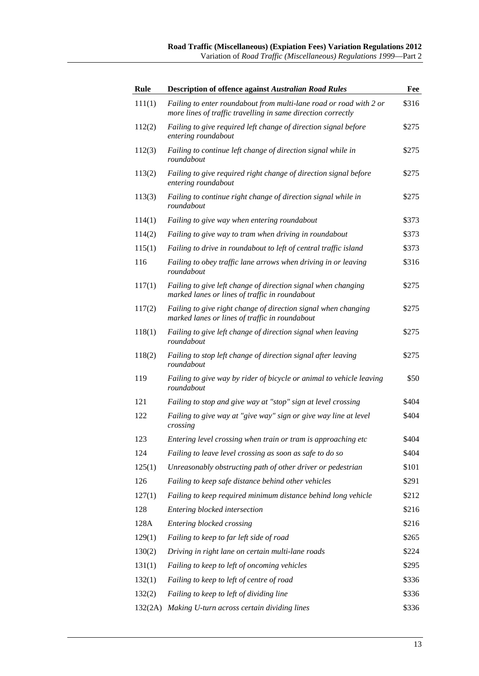| <b>Rule</b> | <b>Description of offence against Australian Road Rules</b>                                                                        | Fee   |
|-------------|------------------------------------------------------------------------------------------------------------------------------------|-------|
| 111(1)      | Failing to enter roundabout from multi-lane road or road with 2 or<br>more lines of traffic travelling in same direction correctly | \$316 |
| 112(2)      | Failing to give required left change of direction signal before<br>entering roundabout                                             | \$275 |
| 112(3)      | Failing to continue left change of direction signal while in<br>roundabout                                                         | \$275 |
| 113(2)      | Failing to give required right change of direction signal before<br>entering roundabout                                            | \$275 |
| 113(3)      | Failing to continue right change of direction signal while in<br>roundabout                                                        | \$275 |
| 114(1)      | Failing to give way when entering roundabout                                                                                       | \$373 |
| 114(2)      | Failing to give way to tram when driving in roundabout                                                                             | \$373 |
| 115(1)      | Failing to drive in roundabout to left of central traffic island                                                                   | \$373 |
| 116         | Failing to obey traffic lane arrows when driving in or leaving<br>roundabout                                                       | \$316 |
| 117(1)      | Failing to give left change of direction signal when changing<br>marked lanes or lines of traffic in roundabout                    | \$275 |
| 117(2)      | Failing to give right change of direction signal when changing<br>marked lanes or lines of traffic in roundabout                   | \$275 |
| 118(1)      | Failing to give left change of direction signal when leaving<br>roundabout                                                         | \$275 |
| 118(2)      | Failing to stop left change of direction signal after leaving<br>roundabout                                                        | \$275 |
| 119         | Failing to give way by rider of bicycle or animal to vehicle leaving<br>roundabout                                                 | \$50  |
| 121         | Failing to stop and give way at "stop" sign at level crossing                                                                      | \$404 |
| 122         | Failing to give way at "give way" sign or give way line at level<br>crossing                                                       | \$404 |
| 123         | Entering level crossing when train or tram is approaching etc                                                                      | \$404 |
| 124         | Failing to leave level crossing as soon as safe to do so                                                                           | \$404 |
| 125(1)      | Unreasonably obstructing path of other driver or pedestrian                                                                        | \$101 |
| 126         | Failing to keep safe distance behind other vehicles                                                                                | \$291 |
| 127(1)      | Failing to keep required minimum distance behind long vehicle                                                                      | \$212 |
| 128         | Entering blocked intersection                                                                                                      | \$216 |
| 128A        | Entering blocked crossing                                                                                                          | \$216 |
| 129(1)      | Failing to keep to far left side of road                                                                                           | \$265 |
| 130(2)      | Driving in right lane on certain multi-lane roads                                                                                  | \$224 |
| 131(1)      | Failing to keep to left of oncoming vehicles                                                                                       | \$295 |
| 132(1)      | Failing to keep to left of centre of road                                                                                          | \$336 |
| 132(2)      | Failing to keep to left of dividing line                                                                                           | \$336 |
| 132(2A)     | Making U-turn across certain dividing lines                                                                                        | \$336 |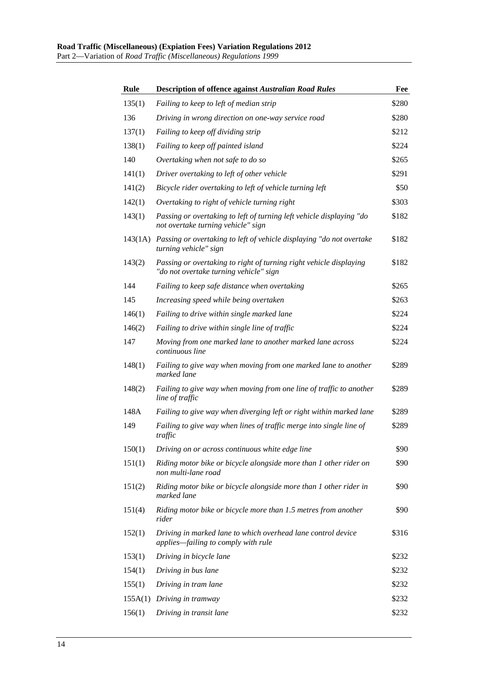| Rule   | <b>Description of offence against Australian Road Rules</b>                                                  | Fee   |
|--------|--------------------------------------------------------------------------------------------------------------|-------|
| 135(1) | Failing to keep to left of median strip                                                                      | \$280 |
| 136    | Driving in wrong direction on one-way service road                                                           | \$280 |
| 137(1) | Failing to keep off dividing strip                                                                           | \$212 |
| 138(1) | Failing to keep off painted island                                                                           | \$224 |
| 140    | Overtaking when not safe to do so                                                                            | \$265 |
| 141(1) | Driver overtaking to left of other vehicle                                                                   | \$291 |
| 141(2) | Bicycle rider overtaking to left of vehicle turning left                                                     | \$50  |
| 142(1) | Overtaking to right of vehicle turning right                                                                 | \$303 |
| 143(1) | Passing or overtaking to left of turning left vehicle displaying "do<br>not overtake turning vehicle" sign   | \$182 |
|        | 143(1A) Passing or overtaking to left of vehicle displaying "do not overtake<br>turning vehicle" sign        | \$182 |
| 143(2) | Passing or overtaking to right of turning right vehicle displaying<br>"do not overtake turning vehicle" sign | \$182 |
| 144    | Failing to keep safe distance when overtaking                                                                | \$265 |
| 145    | Increasing speed while being overtaken                                                                       | \$263 |
| 146(1) | Failing to drive within single marked lane                                                                   | \$224 |
| 146(2) | Failing to drive within single line of traffic                                                               | \$224 |
| 147    | Moving from one marked lane to another marked lane across<br>continuous line                                 | \$224 |
| 148(1) | Failing to give way when moving from one marked lane to another<br>marked lane                               | \$289 |
| 148(2) | Failing to give way when moving from one line of traffic to another<br>line of traffic                       | \$289 |
| 148A   | Failing to give way when diverging left or right within marked lane                                          | \$289 |
| 149    | Failing to give way when lines of traffic merge into single line of<br>traffic                               | \$289 |
| 150(1) | Driving on or across continuous white edge line                                                              | \$90  |
| 151(1) | Riding motor bike or bicycle alongside more than 1 other rider on<br>non multi-lane road                     | \$90  |
| 151(2) | Riding motor bike or bicycle alongside more than 1 other rider in<br>marked lane                             | \$90  |
| 151(4) | Riding motor bike or bicycle more than 1.5 metres from another<br>rider                                      | \$90  |
| 152(1) | Driving in marked lane to which overhead lane control device<br>applies-failing to comply with rule          | \$316 |
| 153(1) | Driving in bicycle lane                                                                                      | \$232 |
| 154(1) | Driving in bus lane                                                                                          | \$232 |
| 155(1) | Driving in tram lane                                                                                         | \$232 |
|        | 155A(1) Driving in tramway                                                                                   | \$232 |
| 156(1) | Driving in transit lane                                                                                      | \$232 |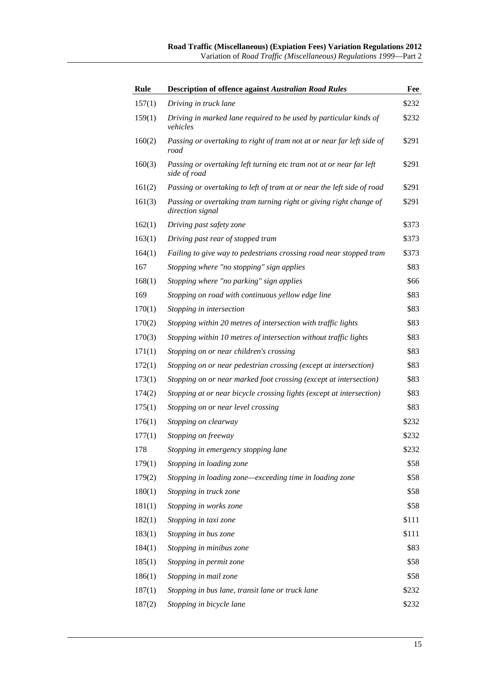| <b>Rule</b> | <b>Description of offence against Australian Road Rules</b>                            | Fee   |
|-------------|----------------------------------------------------------------------------------------|-------|
| 157(1)      | Driving in truck lane                                                                  | \$232 |
| 159(1)      | Driving in marked lane required to be used by particular kinds of<br>vehicles          | \$232 |
| 160(2)      | Passing or overtaking to right of tram not at or near far left side of<br>road         | \$291 |
| 160(3)      | Passing or overtaking left turning etc tram not at or near far left<br>side of road    | \$291 |
| 161(2)      | Passing or overtaking to left of tram at or near the left side of road                 | \$291 |
| 161(3)      | Passing or overtaking tram turning right or giving right change of<br>direction signal | \$291 |
| 162(1)      | Driving past safety zone                                                               | \$373 |
| 163(1)      | Driving past rear of stopped tram                                                      | \$373 |
| 164(1)      | Failing to give way to pedestrians crossing road near stopped tram                     | \$373 |
| 167         | Stopping where "no stopping" sign applies                                              | \$83  |
| 168(1)      | Stopping where "no parking" sign applies                                               | \$66  |
| 169         | Stopping on road with continuous yellow edge line                                      | \$83  |
| 170(1)      | Stopping in intersection                                                               | \$83  |
| 170(2)      | Stopping within 20 metres of intersection with traffic lights                          | \$83  |
| 170(3)      | Stopping within 10 metres of intersection without traffic lights                       | \$83  |
| 171(1)      | Stopping on or near children's crossing                                                | \$83  |
| 172(1)      | Stopping on or near pedestrian crossing (except at intersection)                       | \$83  |
| 173(1)      | Stopping on or near marked foot crossing (except at intersection)                      | \$83  |
| 174(2)      | Stopping at or near bicycle crossing lights (except at intersection)                   | \$83  |
| 175(1)      | Stopping on or near level crossing                                                     | \$83  |
| 176(1)      | Stopping on clearway                                                                   | \$232 |
| 177(1)      | Stopping on freeway                                                                    | \$232 |
| 178         | Stopping in emergency stopping lane                                                    | \$232 |
| 179(1)      | Stopping in loading zone                                                               | \$58  |
| 179(2)      | Stopping in loading zone—exceeding time in loading zone                                | \$58  |
| 180(1)      | Stopping in truck zone                                                                 | \$58  |
| 181(1)      | Stopping in works zone                                                                 | \$58  |
| 182(1)      | Stopping in taxi zone                                                                  | \$111 |
| 183(1)      | Stopping in bus zone                                                                   | \$111 |
| 184(1)      | Stopping in minibus zone                                                               | \$83  |
| 185(1)      | Stopping in permit zone                                                                | \$58  |
| 186(1)      | Stopping in mail zone                                                                  | \$58  |
| 187(1)      | Stopping in bus lane, transit lane or truck lane                                       | \$232 |
| 187(2)      | Stopping in bicycle lane                                                               | \$232 |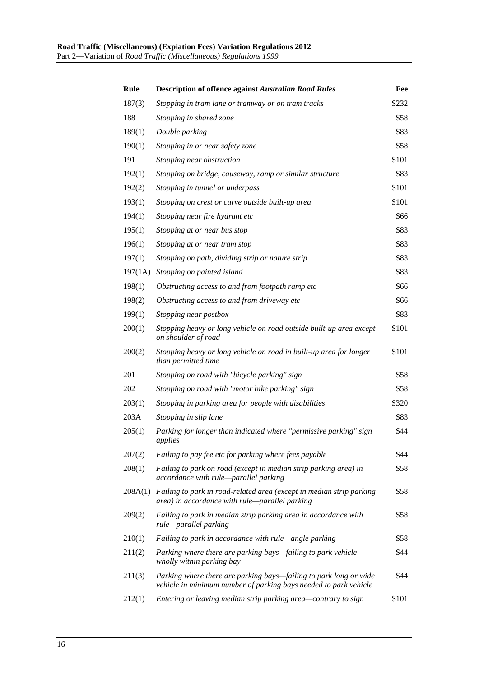| Rule    | <b>Description of offence against Australian Road Rules</b>                                                                           | Fee   |
|---------|---------------------------------------------------------------------------------------------------------------------------------------|-------|
| 187(3)  | Stopping in tram lane or tramway or on tram tracks                                                                                    | \$232 |
| 188     | Stopping in shared zone                                                                                                               | \$58  |
| 189(1)  | Double parking                                                                                                                        | \$83  |
| 190(1)  | Stopping in or near safety zone                                                                                                       | \$58  |
| 191     | Stopping near obstruction                                                                                                             | \$101 |
| 192(1)  | Stopping on bridge, causeway, ramp or similar structure                                                                               | \$83  |
| 192(2)  | Stopping in tunnel or underpass                                                                                                       | \$101 |
| 193(1)  | Stopping on crest or curve outside built-up area                                                                                      | \$101 |
| 194(1)  | Stopping near fire hydrant etc                                                                                                        | \$66  |
| 195(1)  | Stopping at or near bus stop                                                                                                          | \$83  |
| 196(1)  | Stopping at or near tram stop                                                                                                         | \$83  |
| 197(1)  | Stopping on path, dividing strip or nature strip                                                                                      | \$83  |
| 197(1A) | Stopping on painted island                                                                                                            | \$83  |
| 198(1)  | Obstructing access to and from footpath ramp etc                                                                                      | \$66  |
| 198(2)  | Obstructing access to and from driveway etc                                                                                           | \$66  |
| 199(1)  | Stopping near postbox                                                                                                                 | \$83  |
| 200(1)  | Stopping heavy or long vehicle on road outside built-up area except<br>on shoulder of road                                            | \$101 |
| 200(2)  | Stopping heavy or long vehicle on road in built-up area for longer<br>than permitted time                                             | \$101 |
| 201     | Stopping on road with "bicycle parking" sign                                                                                          | \$58  |
| 202     | Stopping on road with "motor bike parking" sign                                                                                       | \$58  |
| 203(1)  | Stopping in parking area for people with disabilities                                                                                 | \$320 |
| 203A    | Stopping in slip lane                                                                                                                 | \$83  |
| 205(1)  | Parking for longer than indicated where "permissive parking" sign<br>applies                                                          | \$44  |
| 207(2)  | Failing to pay fee etc for parking where fees payable                                                                                 | \$44  |
| 208(1)  | Failing to park on road (except in median strip parking area) in<br>accordance with rule-parallel parking                             | \$58  |
| 208A(1) | Failing to park in road-related area (except in median strip parking<br>area) in accordance with rule—parallel parking                | \$58  |
| 209(2)  | Failing to park in median strip parking area in accordance with<br>rule-parallel parking                                              | \$58  |
| 210(1)  | Failing to park in accordance with rule—angle parking                                                                                 | \$58  |
| 211(2)  | Parking where there are parking bays—failing to park vehicle<br>wholly within parking bay                                             | \$44  |
| 211(3)  | Parking where there are parking bays—failing to park long or wide<br>vehicle in minimum number of parking bays needed to park vehicle | \$44  |
| 212(1)  | Entering or leaving median strip parking area-contrary to sign                                                                        | \$101 |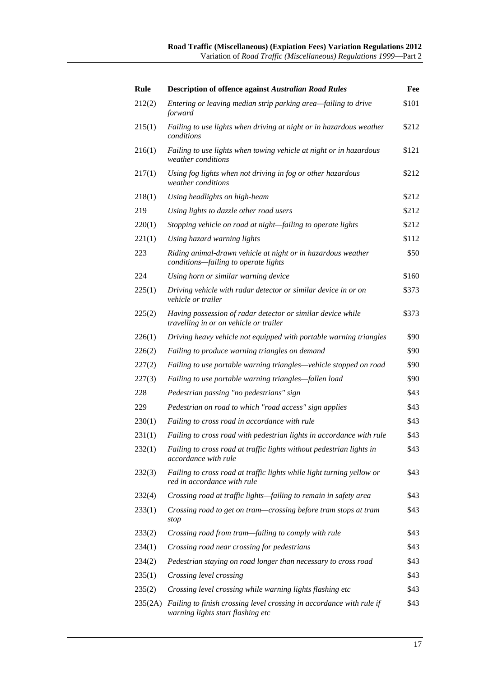| Rule    | <b>Description of offence against Australian Road Rules</b>                                               | Fee   |
|---------|-----------------------------------------------------------------------------------------------------------|-------|
| 212(2)  | Entering or leaving median strip parking area-failing to drive<br>forward                                 | \$101 |
| 215(1)  | Failing to use lights when driving at night or in hazardous weather<br>conditions                         | \$212 |
| 216(1)  | Failing to use lights when towing vehicle at night or in hazardous<br>weather conditions                  | \$121 |
| 217(1)  | Using fog lights when not driving in fog or other hazardous<br>weather conditions                         | \$212 |
| 218(1)  | Using headlights on high-beam                                                                             | \$212 |
| 219     | Using lights to dazzle other road users                                                                   | \$212 |
| 220(1)  | Stopping vehicle on road at night-failing to operate lights                                               | \$212 |
| 221(1)  | Using hazard warning lights                                                                               | \$112 |
| 223     | Riding animal-drawn vehicle at night or in hazardous weather<br>conditions-failing to operate lights      | \$50  |
| 224     | Using horn or similar warning device                                                                      | \$160 |
| 225(1)  | Driving vehicle with radar detector or similar device in or on<br>vehicle or trailer                      | \$373 |
| 225(2)  | Having possession of radar detector or similar device while<br>travelling in or on vehicle or trailer     | \$373 |
| 226(1)  | Driving heavy vehicle not equipped with portable warning triangles                                        | \$90  |
| 226(2)  | Failing to produce warning triangles on demand                                                            | \$90  |
| 227(2)  | Failing to use portable warning triangles-vehicle stopped on road                                         | \$90  |
| 227(3)  | Failing to use portable warning triangles—fallen load                                                     | \$90  |
| 228     | Pedestrian passing "no pedestrians" sign                                                                  | \$43  |
| 229     | Pedestrian on road to which "road access" sign applies                                                    | \$43  |
| 230(1)  | Failing to cross road in accordance with rule                                                             | \$43  |
| 231(1)  | Failing to cross road with pedestrian lights in accordance with rule                                      | \$43  |
| 232(1)  | Failing to cross road at traffic lights without pedestrian lights in<br>accordance with rule              | \$43  |
| 232(3)  | Failing to cross road at traffic lights while light turning yellow or<br>red in accordance with rule      | \$43  |
| 232(4)  | Crossing road at traffic lights—failing to remain in safety area                                          | \$43  |
| 233(1)  | Crossing road to get on tram—crossing before tram stops at tram<br>stop                                   | \$43  |
| 233(2)  | Crossing road from tram—failing to comply with rule                                                       | \$43  |
| 234(1)  | Crossing road near crossing for pedestrians                                                               | \$43  |
| 234(2)  | Pedestrian staying on road longer than necessary to cross road                                            | \$43  |
| 235(1)  | Crossing level crossing                                                                                   | \$43  |
| 235(2)  | Crossing level crossing while warning lights flashing etc                                                 | \$43  |
| 235(2A) | Failing to finish crossing level crossing in accordance with rule if<br>warning lights start flashing etc | \$43  |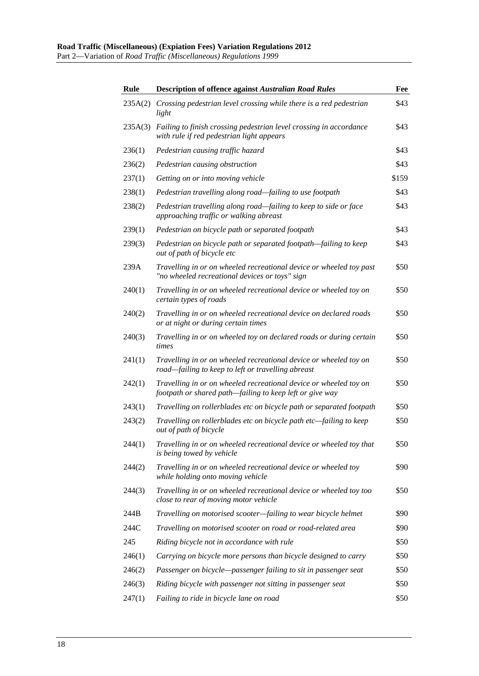| Rule    | <b>Description of offence against Australian Road Rules</b>                                                                   | Fee   |
|---------|-------------------------------------------------------------------------------------------------------------------------------|-------|
| 235A(2) | Crossing pedestrian level crossing while there is a red pedestrian<br>light                                                   | \$43  |
| 235A(3) | Failing to finish crossing pedestrian level crossing in accordance<br>with rule if red pedestrian light appears               | \$43  |
| 236(1)  | Pedestrian causing traffic hazard                                                                                             | \$43  |
| 236(2)  | Pedestrian causing obstruction                                                                                                | \$43  |
| 237(1)  | Getting on or into moving vehicle                                                                                             | \$159 |
| 238(1)  | Pedestrian travelling along road-failing to use footpath                                                                      | \$43  |
| 238(2)  | Pedestrian travelling along road—failing to keep to side or face<br>approaching traffic or walking abreast                    | \$43  |
| 239(1)  | Pedestrian on bicycle path or separated footpath                                                                              | \$43  |
| 239(3)  | Pedestrian on bicycle path or separated footpath-failing to keep<br>out of path of bicycle etc                                | \$43  |
| 239A    | Travelling in or on wheeled recreational device or wheeled toy past<br>"no wheeled recreational devices or toys" sign         | \$50  |
| 240(1)  | Travelling in or on wheeled recreational device or wheeled toy on<br>certain types of roads                                   | \$50  |
| 240(2)  | Travelling in or on wheeled recreational device on declared roads<br>or at night or during certain times                      | \$50  |
| 240(3)  | Travelling in or on wheeled toy on declared roads or during certain<br>times                                                  | \$50  |
| 241(1)  | Travelling in or on wheeled recreational device or wheeled toy on<br>road-failing to keep to left or travelling abreast       | \$50  |
| 242(1)  | Travelling in or on wheeled recreational device or wheeled toy on<br>footpath or shared path—failing to keep left or give way | \$50  |
| 243(1)  | Travelling on rollerblades etc on bicycle path or separated footpath                                                          | \$50  |
| 243(2)  | Travelling on rollerblades etc on bicycle path etc—failing to keep<br>out of path of bicycle                                  | \$50  |
| 244(1)  | Travelling in or on wheeled recreational device or wheeled toy that<br>is being towed by vehicle                              | \$50  |
| 244(2)  | Travelling in or on wheeled recreational device or wheeled toy<br>while holding onto moving vehicle                           | \$90  |
| 244(3)  | Travelling in or on wheeled recreational device or wheeled toy too<br>close to rear of moving motor vehicle                   | \$50  |
| 244B    | Travelling on motorised scooter-failing to wear bicycle helmet                                                                | \$90  |
| 244C    | Travelling on motorised scooter on road or road-related area                                                                  | \$90  |
| 245     | Riding bicycle not in accordance with rule                                                                                    | \$50  |
| 246(1)  | Carrying on bicycle more persons than bicycle designed to carry                                                               | \$50  |
| 246(2)  | Passenger on bicycle—passenger failing to sit in passenger seat                                                               | \$50  |
| 246(3)  | Riding bicycle with passenger not sitting in passenger seat                                                                   | \$50  |
| 247(1)  | Failing to ride in bicycle lane on road                                                                                       | \$50  |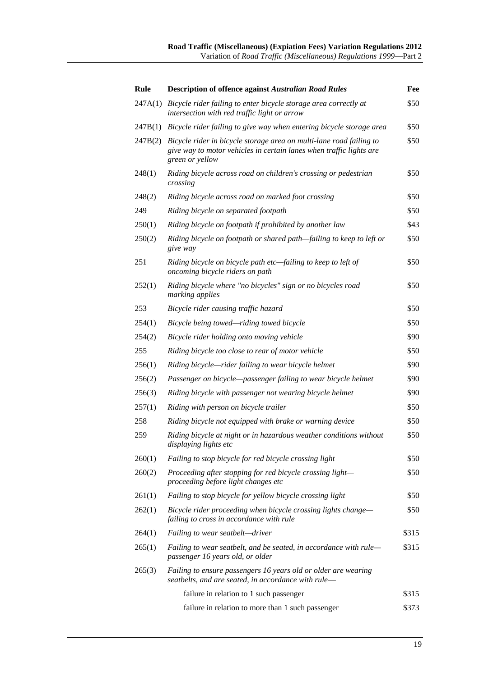| Rule    | <b>Description of offence against Australian Road Rules</b>                                                                                                   | Fee   |
|---------|---------------------------------------------------------------------------------------------------------------------------------------------------------------|-------|
| 247A(1) | Bicycle rider failing to enter bicycle storage area correctly at<br>intersection with red traffic light or arrow                                              | \$50  |
| 247B(1) | Bicycle rider failing to give way when entering bicycle storage area                                                                                          | \$50  |
| 247B(2) | Bicycle rider in bicycle storage area on multi-lane road failing to<br>give way to motor vehicles in certain lanes when traffic lights are<br>green or yellow | \$50  |
| 248(1)  | Riding bicycle across road on children's crossing or pedestrian<br>crossing                                                                                   | \$50  |
| 248(2)  | Riding bicycle across road on marked foot crossing                                                                                                            | \$50  |
| 249     | Riding bicycle on separated footpath                                                                                                                          | \$50  |
| 250(1)  | Riding bicycle on footpath if prohibited by another law                                                                                                       | \$43  |
| 250(2)  | Riding bicycle on footpath or shared path-failing to keep to left or<br>give way                                                                              | \$50  |
| 251     | Riding bicycle on bicycle path etc-failing to keep to left of<br>oncoming bicycle riders on path                                                              | \$50  |
| 252(1)  | Riding bicycle where "no bicycles" sign or no bicycles road<br>marking applies                                                                                | \$50  |
| 253     | Bicycle rider causing traffic hazard                                                                                                                          | \$50  |
| 254(1)  | Bicycle being towed—riding towed bicycle                                                                                                                      | \$50  |
| 254(2)  | Bicycle rider holding onto moving vehicle                                                                                                                     | \$90  |
| 255     | Riding bicycle too close to rear of motor vehicle                                                                                                             | \$50  |
| 256(1)  | Riding bicycle—rider failing to wear bicycle helmet                                                                                                           | \$90  |
| 256(2)  | Passenger on bicycle-passenger failing to wear bicycle helmet                                                                                                 | \$90  |
| 256(3)  | Riding bicycle with passenger not wearing bicycle helmet                                                                                                      | \$90  |
| 257(1)  | Riding with person on bicycle trailer                                                                                                                         | \$50  |
| 258     | Riding bicycle not equipped with brake or warning device                                                                                                      | \$50  |
| 259     | Riding bicycle at night or in hazardous weather conditions without<br>displaying lights etc                                                                   | \$50  |
| 260(1)  | Failing to stop bicycle for red bicycle crossing light                                                                                                        | \$50  |
| 260(2)  | Proceeding after stopping for red bicycle crossing light-<br>proceeding before light changes etc                                                              | \$50  |
| 261(1)  | Failing to stop bicycle for yellow bicycle crossing light                                                                                                     | \$50  |
| 262(1)  | Bicycle rider proceeding when bicycle crossing lights change-<br>failing to cross in accordance with rule                                                     | \$50  |
| 264(1)  | Failing to wear seatbelt—driver                                                                                                                               | \$315 |
| 265(1)  | Failing to wear seatbelt, and be seated, in accordance with rule-<br>passenger 16 years old, or older                                                         | \$315 |
| 265(3)  | Failing to ensure passengers 16 years old or older are wearing<br>seatbelts, and are seated, in accordance with rule-                                         |       |
|         | failure in relation to 1 such passenger                                                                                                                       | \$315 |
|         | failure in relation to more than 1 such passenger                                                                                                             | \$373 |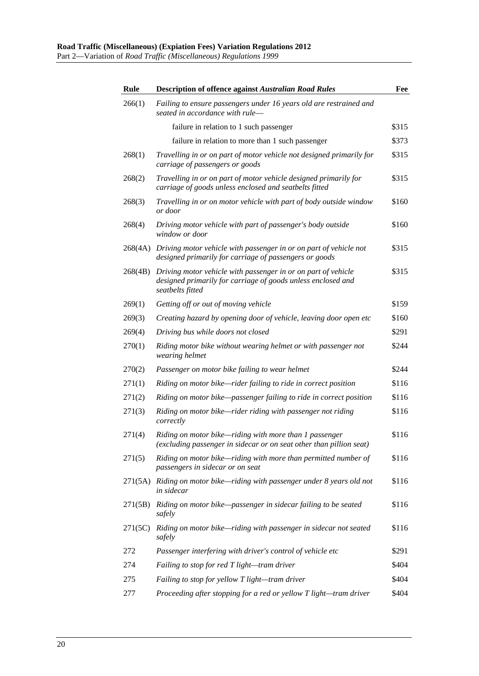| <b>Rule</b> | <b>Description of offence against Australian Road Rules</b>                                                                                       | Fee   |
|-------------|---------------------------------------------------------------------------------------------------------------------------------------------------|-------|
| 266(1)      | Failing to ensure passengers under 16 years old are restrained and<br>seated in accordance with rule-                                             |       |
|             | failure in relation to 1 such passenger                                                                                                           | \$315 |
|             | failure in relation to more than 1 such passenger                                                                                                 | \$373 |
| 268(1)      | Travelling in or on part of motor vehicle not designed primarily for<br>carriage of passengers or goods                                           | \$315 |
| 268(2)      | Travelling in or on part of motor vehicle designed primarily for<br>carriage of goods unless enclosed and seatbelts fitted                        | \$315 |
| 268(3)      | Travelling in or on motor vehicle with part of body outside window<br>or door                                                                     | \$160 |
| 268(4)      | Driving motor vehicle with part of passenger's body outside<br>window or door                                                                     | \$160 |
| 268(4A)     | Driving motor vehicle with passenger in or on part of vehicle not<br>designed primarily for carriage of passengers or goods                       | \$315 |
| 268(4B)     | Driving motor vehicle with passenger in or on part of vehicle<br>designed primarily for carriage of goods unless enclosed and<br>seatbelts fitted | \$315 |
| 269(1)      | Getting off or out of moving vehicle                                                                                                              | \$159 |
| 269(3)      | Creating hazard by opening door of vehicle, leaving door open etc                                                                                 | \$160 |
| 269(4)      | Driving bus while doors not closed                                                                                                                | \$291 |
| 270(1)      | Riding motor bike without wearing helmet or with passenger not<br>wearing helmet                                                                  | \$244 |
| 270(2)      | Passenger on motor bike failing to wear helmet                                                                                                    | \$244 |
| 271(1)      | Riding on motor bike—rider failing to ride in correct position                                                                                    | \$116 |
| 271(2)      | Riding on motor bike-passenger failing to ride in correct position                                                                                | \$116 |
| 271(3)      | Riding on motor bike—rider riding with passenger not riding<br>correctly                                                                          | \$116 |
| 271(4)      | Riding on motor bike-riding with more than 1 passenger<br>(excluding passenger in sidecar or on seat other than pillion seat)                     | \$116 |
| 271(5)      | Riding on motor bike—riding with more than permitted number of<br>passengers in sidecar or on seat                                                | \$116 |
| 271(5A)     | Riding on motor bike—riding with passenger under 8 years old not<br>in sidecar                                                                    | \$116 |
| 271(5B)     | Riding on motor bike-passenger in sidecar failing to be seated<br>safely                                                                          | \$116 |
| 271(5C)     | Riding on motor bike-riding with passenger in sidecar not seated<br>safely                                                                        | \$116 |
| 272         | Passenger interfering with driver's control of vehicle etc                                                                                        | \$291 |
| 274         | Failing to stop for red T light-tram driver                                                                                                       | \$404 |
| 275         | Failing to stop for yellow T light-tram driver                                                                                                    | \$404 |
| 277         | Proceeding after stopping for a red or yellow T light-tram driver                                                                                 | \$404 |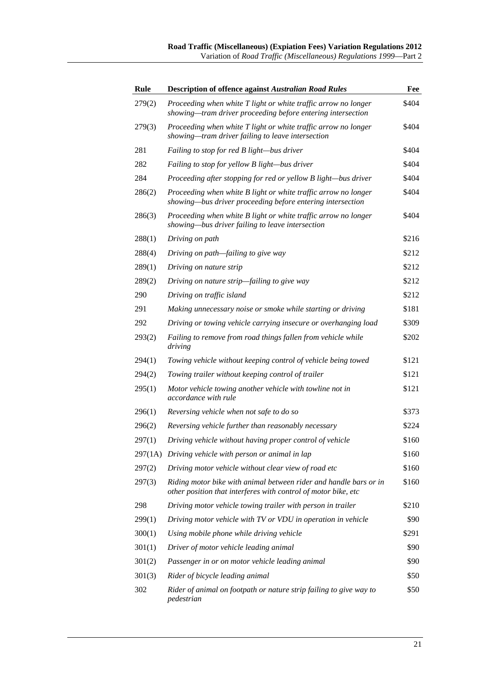| <b>Rule</b> | <b>Description of offence against Australian Road Rules</b>                                                                         | Fee   |
|-------------|-------------------------------------------------------------------------------------------------------------------------------------|-------|
| 279(2)      | Proceeding when white T light or white traffic arrow no longer<br>showing—tram driver proceeding before entering intersection       | \$404 |
| 279(3)      | Proceeding when white T light or white traffic arrow no longer<br>showing—tram driver failing to leave intersection                 | \$404 |
| 281         | Failing to stop for red B light-bus driver                                                                                          | \$404 |
| 282         | Failing to stop for yellow B light-bus driver                                                                                       | \$404 |
| 284         | Proceeding after stopping for red or yellow B light-bus driver                                                                      | \$404 |
| 286(2)      | Proceeding when white B light or white traffic arrow no longer<br>showing-bus driver proceeding before entering intersection        | \$404 |
| 286(3)      | Proceeding when white B light or white traffic arrow no longer<br>showing—bus driver failing to leave intersection                  | \$404 |
| 288(1)      | Driving on path                                                                                                                     | \$216 |
| 288(4)      | Driving on path—failing to give way                                                                                                 | \$212 |
| 289(1)      | Driving on nature strip                                                                                                             | \$212 |
| 289(2)      | Driving on nature strip-failing to give way                                                                                         | \$212 |
| 290         | Driving on traffic island                                                                                                           | \$212 |
| 291         | Making unnecessary noise or smoke while starting or driving                                                                         | \$181 |
| 292         | Driving or towing vehicle carrying insecure or overhanging load                                                                     | \$309 |
| 293(2)      | Failing to remove from road things fallen from vehicle while<br>driving                                                             | \$202 |
| 294(1)      | Towing vehicle without keeping control of vehicle being towed                                                                       | \$121 |
| 294(2)      | Towing trailer without keeping control of trailer                                                                                   | \$121 |
| 295(1)      | Motor vehicle towing another vehicle with towline not in<br>accordance with rule                                                    | \$121 |
| 296(1)      | Reversing vehicle when not safe to do so                                                                                            | \$373 |
| 296(2)      | Reversing vehicle further than reasonably necessary                                                                                 | \$224 |
| 297(1)      | Driving vehicle without having proper control of vehicle                                                                            | \$160 |
|             | 297(1A) Driving vehicle with person or animal in lap                                                                                | \$160 |
| 297(2)      | Driving motor vehicle without clear view of road etc                                                                                | \$160 |
| 297(3)      | Riding motor bike with animal between rider and handle bars or in<br>other position that interferes with control of motor bike, etc | \$160 |
| 298         | Driving motor vehicle towing trailer with person in trailer                                                                         | \$210 |
| 299(1)      | Driving motor vehicle with TV or VDU in operation in vehicle                                                                        | \$90  |
| 300(1)      | Using mobile phone while driving vehicle                                                                                            | \$291 |
| 301(1)      | Driver of motor vehicle leading animal                                                                                              | \$90  |
| 301(2)      | Passenger in or on motor vehicle leading animal                                                                                     | \$90  |
| 301(3)      | Rider of bicycle leading animal                                                                                                     | \$50  |
| 302         | Rider of animal on footpath or nature strip failing to give way to<br>pedestrian                                                    | \$50  |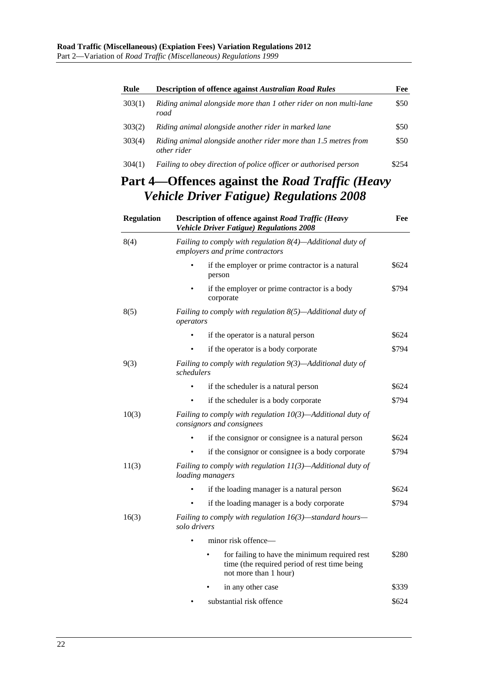| Rule              | <b>Description of offence against Australian Road Rules</b>                                                            | Fee   |
|-------------------|------------------------------------------------------------------------------------------------------------------------|-------|
| 303(1)            | Riding animal alongside more than 1 other rider on non multi-lane<br>road                                              | \$50  |
| 303(2)            | Riding animal alongside another rider in marked lane                                                                   | \$50  |
| 303(4)            | Riding animal alongside another rider more than 1.5 metres from<br>other rider                                         | \$50  |
| 304(1)            | Failing to obey direction of police officer or authorised person                                                       | \$254 |
|                   | Part 4—Offences against the Road Traffic (Heavy                                                                        |       |
|                   | <b>Vehicle Driver Fatigue) Regulations 2008</b>                                                                        |       |
| <b>Regulation</b> | <b>Description of offence against Road Traffic (Heavy</b><br><b>Vehicle Driver Fatigue) Regulations 2008</b>           | Fee   |
| 8(4)              | Failing to comply with regulation $8(4)$ —Additional duty of<br>employers and prime contractors                        |       |
|                   | if the employer or prime contractor is a natural<br>person                                                             | \$624 |
|                   | if the employer or prime contractor is a body<br>corporate                                                             | \$794 |
| 8(5)              | Failing to comply with regulation $8(5)$ —Additional duty of<br>operators                                              |       |
|                   | if the operator is a natural person                                                                                    | \$624 |
|                   | if the operator is a body corporate                                                                                    | \$794 |
| 9(3)              | Failing to comply with regulation $9(3)$ —Additional duty of<br>schedulers                                             |       |
|                   | if the scheduler is a natural person                                                                                   | \$624 |
|                   | if the scheduler is a body corporate                                                                                   | \$794 |
| 10(3)             | Failing to comply with regulation $10(3)$ —Additional duty of<br>consignors and consignees                             |       |
|                   | if the consignor or consignee is a natural person                                                                      | \$624 |
|                   | if the consignor or consignee is a body corporate                                                                      | \$794 |
| 11(3)             | Failing to comply with regulation $11(3)$ —Additional duty of<br>loading managers                                      |       |
|                   | if the loading manager is a natural person                                                                             | \$624 |
|                   | if the loading manager is a body corporate                                                                             | \$794 |
| 16(3)             | Failing to comply with regulation $16(3)$ —standard hours—<br>solo drivers                                             |       |
|                   | minor risk offence—                                                                                                    |       |
|                   | for failing to have the minimum required rest<br>time (the required period of rest time being<br>not more than 1 hour) | \$280 |
|                   | in any other case                                                                                                      | \$339 |

• substantial risk offence \$624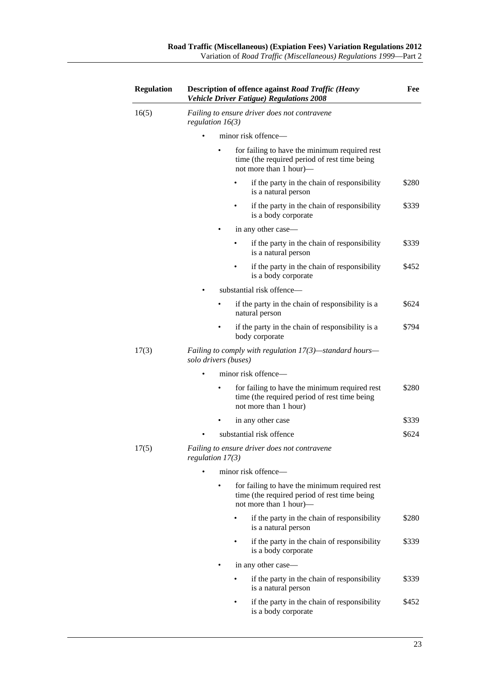| <b>Regulation</b> | <b>Description of offence against Road Traffic (Heavy</b><br><b>Vehicle Driver Fatigue) Regulations 2008</b>            | Fee   |
|-------------------|-------------------------------------------------------------------------------------------------------------------------|-------|
| 16(5)             | Failing to ensure driver does not contravene<br>regulation $16(3)$                                                      |       |
|                   | minor risk offence—                                                                                                     |       |
|                   | for failing to have the minimum required rest<br>time (the required period of rest time being<br>not more than 1 hour)— |       |
|                   | if the party in the chain of responsibility<br>is a natural person                                                      | \$280 |
|                   | if the party in the chain of responsibility<br>is a body corporate                                                      | \$339 |
|                   | in any other case—                                                                                                      |       |
|                   | if the party in the chain of responsibility<br>is a natural person                                                      | \$339 |
|                   | if the party in the chain of responsibility<br>is a body corporate                                                      | \$452 |
|                   | substantial risk offence—                                                                                               |       |
|                   | if the party in the chain of responsibility is a<br>natural person                                                      | \$624 |
|                   | if the party in the chain of responsibility is a<br>body corporate                                                      | \$794 |
| 17(3)             | Failing to comply with regulation $17(3)$ —standard hours—<br>solo drivers (buses)                                      |       |
|                   | minor risk offence-                                                                                                     |       |
|                   | for failing to have the minimum required rest<br>time (the required period of rest time being<br>not more than 1 hour)  | \$280 |
|                   | in any other case                                                                                                       | \$339 |
|                   | substantial risk offence                                                                                                | \$624 |
| 17(5)             | Failing to ensure driver does not contravene<br>regulation $17(3)$                                                      |       |
|                   | minor risk offence—                                                                                                     |       |
|                   | for failing to have the minimum required rest<br>time (the required period of rest time being<br>not more than 1 hour)— |       |
|                   | if the party in the chain of responsibility<br>is a natural person                                                      | \$280 |
|                   | if the party in the chain of responsibility<br>is a body corporate                                                      | \$339 |
|                   | in any other case—                                                                                                      |       |
|                   | if the party in the chain of responsibility<br>is a natural person                                                      | \$339 |
|                   | if the party in the chain of responsibility<br>is a body corporate                                                      | \$452 |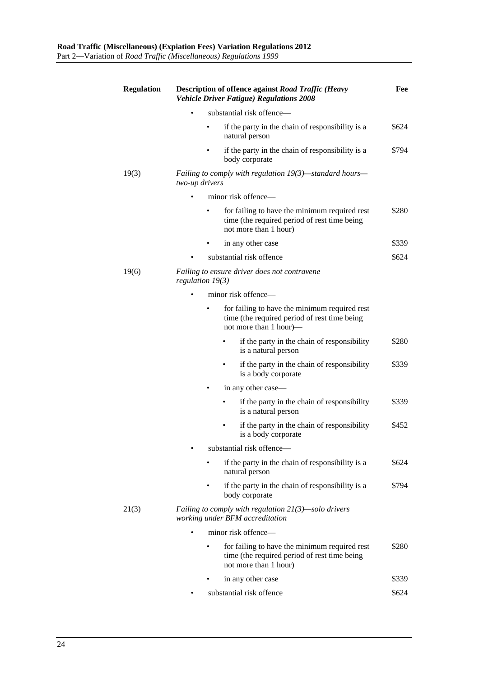| <b>Regulation</b> | <b>Description of offence against Road Traffic (Heavy</b><br><b>Vehicle Driver Fatigue) Regulations 2008</b>            | Fee   |
|-------------------|-------------------------------------------------------------------------------------------------------------------------|-------|
|                   | substantial risk offence—                                                                                               |       |
|                   | if the party in the chain of responsibility is a<br>natural person                                                      | \$624 |
|                   | if the party in the chain of responsibility is a<br>body corporate                                                      | \$794 |
| 19(3)             | Failing to comply with regulation 19(3)—standard hours—<br>two-up drivers                                               |       |
|                   | minor risk offence—                                                                                                     |       |
|                   | for failing to have the minimum required rest<br>time (the required period of rest time being<br>not more than 1 hour)  | \$280 |
|                   | in any other case                                                                                                       | \$339 |
|                   | substantial risk offence                                                                                                | \$624 |
| 19(6)             | Failing to ensure driver does not contravene<br>regulation $19(3)$                                                      |       |
|                   | minor risk offence—                                                                                                     |       |
|                   | for failing to have the minimum required rest<br>time (the required period of rest time being<br>not more than 1 hour)— |       |
|                   | if the party in the chain of responsibility<br>is a natural person                                                      | \$280 |
|                   | if the party in the chain of responsibility<br>is a body corporate                                                      | \$339 |
|                   | in any other case—                                                                                                      |       |
|                   | if the party in the chain of responsibility<br>is a natural person                                                      | \$339 |
|                   | if the party in the chain of responsibility<br>is a body corporate                                                      | \$452 |
|                   | substantial risk offence-                                                                                               |       |
|                   | if the party in the chain of responsibility is a<br>natural person                                                      | \$624 |
|                   | if the party in the chain of responsibility is a<br>body corporate                                                      | \$794 |
| 21(3)             | Failing to comply with regulation $21(3)$ —solo drivers<br>working under BFM accreditation                              |       |
|                   | minor risk offence—                                                                                                     |       |
|                   | for failing to have the minimum required rest<br>time (the required period of rest time being<br>not more than 1 hour)  | \$280 |
|                   | in any other case                                                                                                       | \$339 |
|                   | substantial risk offence                                                                                                | \$624 |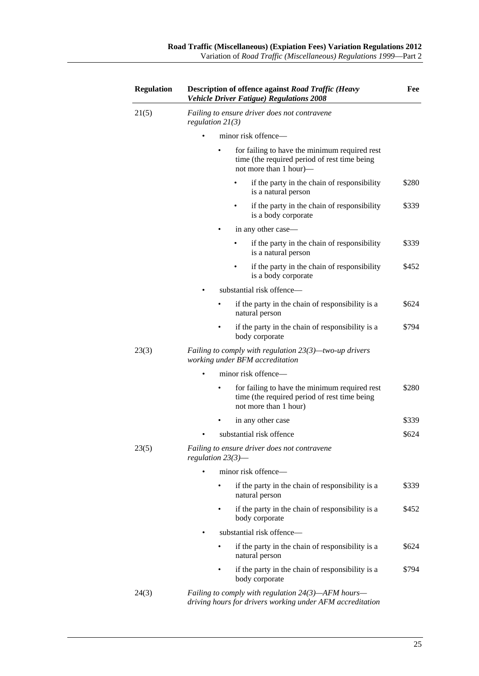| <b>Regulation</b> | Description of offence against Road Traffic (Heavy<br><b>Vehicle Driver Fatigue) Regulations 2008</b>                   | Fee   |
|-------------------|-------------------------------------------------------------------------------------------------------------------------|-------|
| 21(5)             | Failing to ensure driver does not contravene<br>regulation $21(3)$                                                      |       |
|                   | minor risk offence—                                                                                                     |       |
|                   | for failing to have the minimum required rest<br>time (the required period of rest time being<br>not more than 1 hour)— |       |
|                   | if the party in the chain of responsibility<br>is a natural person                                                      | \$280 |
|                   | if the party in the chain of responsibility<br>is a body corporate                                                      | \$339 |
|                   | in any other case—                                                                                                      |       |
|                   | if the party in the chain of responsibility<br>is a natural person                                                      | \$339 |
|                   | if the party in the chain of responsibility<br>is a body corporate                                                      | \$452 |
|                   | substantial risk offence-                                                                                               |       |
|                   | if the party in the chain of responsibility is a<br>natural person                                                      | \$624 |
|                   | if the party in the chain of responsibility is a<br>body corporate                                                      | \$794 |
| 23(3)             | <i>Failing to comply with regulation <math>23(3)</math>—two-up drivers</i><br>working under BFM accreditation           |       |
|                   | minor risk offence—                                                                                                     |       |
|                   | for failing to have the minimum required rest<br>time (the required period of rest time being<br>not more than 1 hour)  | \$280 |
|                   | in any other case                                                                                                       | \$339 |
|                   | substantial risk offence                                                                                                | \$624 |
| 23(5)             | Failing to ensure driver does not contravene<br>regulation $23(3)$ —                                                    |       |
|                   | minor risk offence-                                                                                                     |       |
|                   | if the party in the chain of responsibility is a<br>natural person                                                      | \$339 |
|                   | if the party in the chain of responsibility is a<br>body corporate                                                      | \$452 |
|                   | substantial risk offence-                                                                                               |       |
|                   | if the party in the chain of responsibility is a<br>natural person                                                      | \$624 |
|                   | if the party in the chain of responsibility is a<br>body corporate                                                      | \$794 |
| 24(3)             | Failing to comply with regulation $24(3)$ —AFM hours—<br>driving hours for drivers working under AFM accreditation      |       |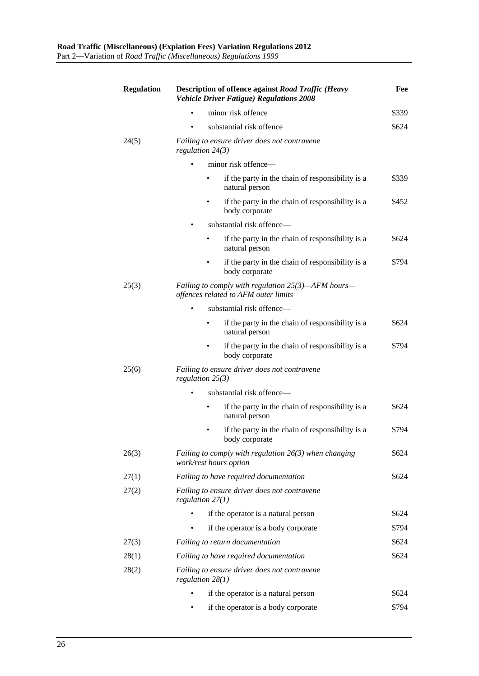| <b>Regulation</b> | <b>Description of offence against Road Traffic (Heavy</b><br><b>Vehicle Driver Fatigue) Regulations 2008</b> |       |
|-------------------|--------------------------------------------------------------------------------------------------------------|-------|
|                   | minor risk offence                                                                                           | \$339 |
|                   | substantial risk offence                                                                                     | \$624 |
| 24(5)             | Failing to ensure driver does not contravene<br>regulation $24(3)$                                           |       |
|                   | minor risk offence-                                                                                          |       |
|                   | if the party in the chain of responsibility is a<br>natural person                                           | \$339 |
|                   | if the party in the chain of responsibility is a<br>body corporate                                           | \$452 |
|                   | substantial risk offence—                                                                                    |       |
|                   | if the party in the chain of responsibility is a<br>natural person                                           | \$624 |
|                   | if the party in the chain of responsibility is a<br>body corporate                                           | \$794 |
| 25(3)             | Failing to comply with regulation $25(3)$ —AFM hours—<br>offences related to AFM outer limits                |       |
|                   | substantial risk offence-                                                                                    |       |
|                   | if the party in the chain of responsibility is a<br>natural person                                           | \$624 |
|                   | if the party in the chain of responsibility is a<br>body corporate                                           | \$794 |
| 25(6)             | Failing to ensure driver does not contravene<br>regulation $25(3)$                                           |       |
|                   | substantial risk offence-                                                                                    |       |
|                   | if the party in the chain of responsibility is a<br>natural person                                           | \$624 |
|                   | if the party in the chain of responsibility is a<br>body corporate                                           | \$794 |
| 26(3)             | Failing to comply with regulation $26(3)$ when changing<br><i>work/rest hours option</i>                     | \$624 |
| 27(1)             | Failing to have required documentation                                                                       | \$624 |
| 27(2)             | Failing to ensure driver does not contravene<br>regulation $27(1)$                                           |       |
|                   | if the operator is a natural person                                                                          | \$624 |
|                   | if the operator is a body corporate                                                                          | \$794 |
| 27(3)             | Failing to return documentation                                                                              | \$624 |
| 28(1)             | Failing to have required documentation                                                                       | \$624 |
| 28(2)             | Failing to ensure driver does not contravene<br>regulation $28(1)$                                           |       |
|                   | if the operator is a natural person                                                                          | \$624 |
|                   | if the operator is a body corporate                                                                          | \$794 |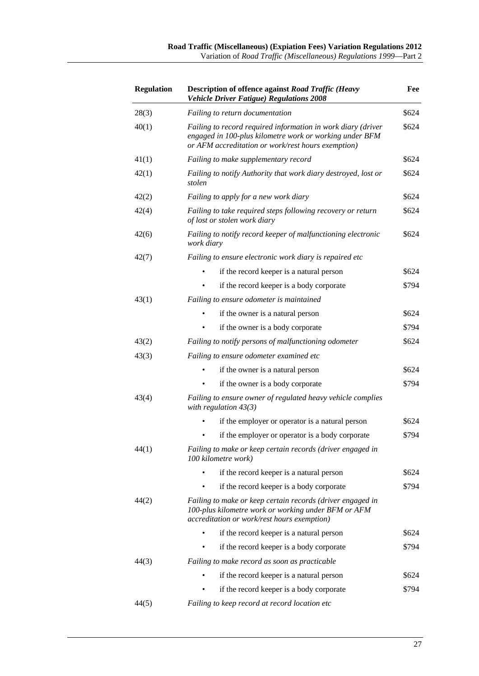| <b>Regulation</b> | <b>Description of offence against Road Traffic (Heavy</b><br><b>Vehicle Driver Fatigue) Regulations 2008</b>                                                                  | Fee   |
|-------------------|-------------------------------------------------------------------------------------------------------------------------------------------------------------------------------|-------|
| 28(3)             | Failing to return documentation                                                                                                                                               | \$624 |
| 40(1)             | Failing to record required information in work diary (driver<br>engaged in 100-plus kilometre work or working under BFM<br>or AFM accreditation or work/rest hours exemption) | \$624 |
| 41(1)             | Failing to make supplementary record                                                                                                                                          | \$624 |
| 42(1)             | Failing to notify Authority that work diary destroyed, lost or<br>stolen                                                                                                      | \$624 |
| 42(2)             | Failing to apply for a new work diary                                                                                                                                         | \$624 |
| 42(4)             | Failing to take required steps following recovery or return<br>of lost or stolen work diary                                                                                   | \$624 |
| 42(6)             | Failing to notify record keeper of malfunctioning electronic<br>work diary                                                                                                    | \$624 |
| 42(7)             | Failing to ensure electronic work diary is repaired etc                                                                                                                       |       |
|                   | if the record keeper is a natural person                                                                                                                                      | \$624 |
|                   | if the record keeper is a body corporate                                                                                                                                      | \$794 |
| 43(1)             | Failing to ensure odometer is maintained                                                                                                                                      |       |
|                   | if the owner is a natural person                                                                                                                                              | \$624 |
|                   | if the owner is a body corporate                                                                                                                                              | \$794 |
| 43(2)             | Failing to notify persons of malfunctioning odometer                                                                                                                          | \$624 |
| 43(3)             | Failing to ensure odometer examined etc                                                                                                                                       |       |
|                   | if the owner is a natural person                                                                                                                                              | \$624 |
|                   | if the owner is a body corporate                                                                                                                                              | \$794 |
| 43(4)             | Failing to ensure owner of regulated heavy vehicle complies<br>with regulation $43(3)$                                                                                        |       |
|                   | if the employer or operator is a natural person                                                                                                                               | \$624 |
|                   | if the employer or operator is a body corporate                                                                                                                               | \$794 |
| 44(1)             | Failing to make or keep certain records (driver engaged in<br>100 kilometre work)                                                                                             |       |
|                   | if the record keeper is a natural person                                                                                                                                      | \$624 |
|                   | if the record keeper is a body corporate                                                                                                                                      | \$794 |
| 44(2)             | Failing to make or keep certain records (driver engaged in<br>100-plus kilometre work or working under BFM or AFM<br>accreditation or work/rest hours exemption)              |       |
|                   | if the record keeper is a natural person                                                                                                                                      | \$624 |
|                   | if the record keeper is a body corporate                                                                                                                                      | \$794 |
| 44(3)             | Failing to make record as soon as practicable                                                                                                                                 |       |
|                   | if the record keeper is a natural person                                                                                                                                      | \$624 |
|                   | if the record keeper is a body corporate                                                                                                                                      | \$794 |
| 44(5)             | Failing to keep record at record location etc                                                                                                                                 |       |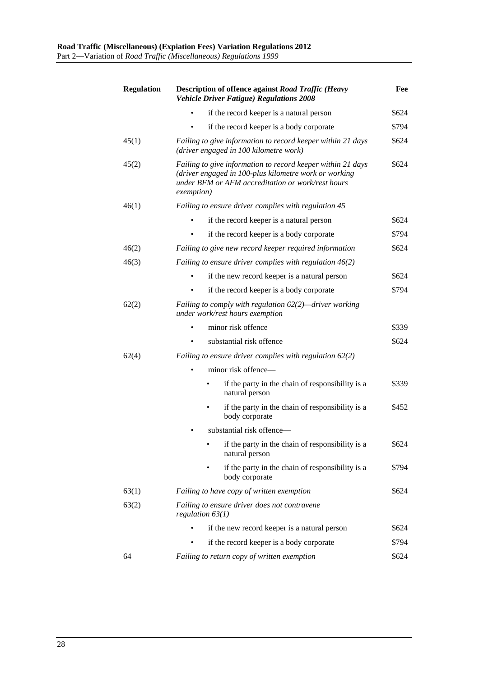| <b>Regulation</b> | <b>Description of offence against Road Traffic (Heavy</b><br><b>Vehicle Driver Fatigue) Regulations 2008</b>                                                                            | Fee   |
|-------------------|-----------------------------------------------------------------------------------------------------------------------------------------------------------------------------------------|-------|
|                   | if the record keeper is a natural person                                                                                                                                                | \$624 |
|                   | if the record keeper is a body corporate                                                                                                                                                | \$794 |
| 45(1)             | Failing to give information to record keeper within 21 days<br>(driver engaged in 100 kilometre work)                                                                                   | \$624 |
| 45(2)             | Failing to give information to record keeper within 21 days<br>(driver engaged in 100-plus kilometre work or working<br>under BFM or AFM accreditation or work/rest hours<br>exemption) | \$624 |
| 46(1)             | Failing to ensure driver complies with regulation 45                                                                                                                                    |       |
|                   | if the record keeper is a natural person                                                                                                                                                | \$624 |
|                   | if the record keeper is a body corporate                                                                                                                                                | \$794 |
| 46(2)             | Failing to give new record keeper required information                                                                                                                                  | \$624 |
| 46(3)             | Failing to ensure driver complies with regulation $46(2)$                                                                                                                               |       |
|                   | if the new record keeper is a natural person                                                                                                                                            | \$624 |
|                   | if the record keeper is a body corporate                                                                                                                                                | \$794 |
| 62(2)             | Failing to comply with regulation $62(2)$ —driver working<br>under work/rest hours exemption                                                                                            |       |
|                   | minor risk offence                                                                                                                                                                      | \$339 |
|                   | substantial risk offence                                                                                                                                                                | \$624 |
| 62(4)             | Failing to ensure driver complies with regulation $62(2)$                                                                                                                               |       |
|                   | minor risk offence-                                                                                                                                                                     |       |
|                   | if the party in the chain of responsibility is a<br>natural person                                                                                                                      | \$339 |
|                   | if the party in the chain of responsibility is a<br>body corporate                                                                                                                      | \$452 |
|                   | substantial risk offence-                                                                                                                                                               |       |
|                   | if the party in the chain of responsibility is a<br>natural person                                                                                                                      | \$624 |
|                   | if the party in the chain of responsibility is a<br>body corporate                                                                                                                      | \$794 |
| 63(1)             | Failing to have copy of written exemption                                                                                                                                               | \$624 |
| 63(2)             | Failing to ensure driver does not contravene<br>regulation $63(1)$                                                                                                                      |       |
|                   | if the new record keeper is a natural person                                                                                                                                            | \$624 |
|                   | if the record keeper is a body corporate                                                                                                                                                | \$794 |
| 64                | Failing to return copy of written exemption                                                                                                                                             | \$624 |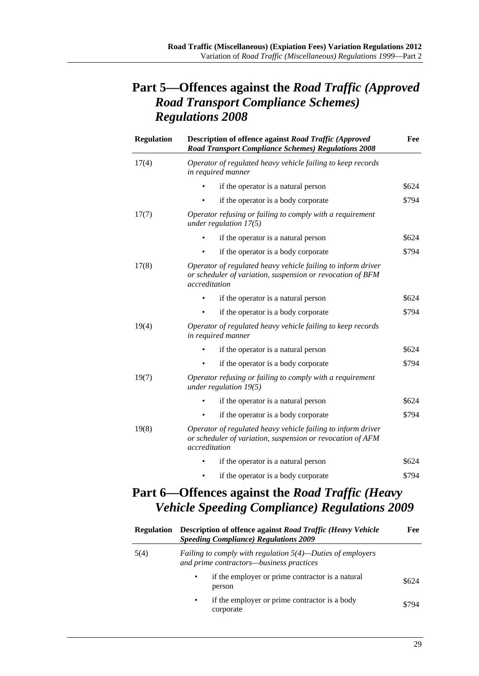## **Part 5—Offences against the** *Road Traffic (Approved Road Transport Compliance Schemes) Regulations 2008*

| <b>Regulation</b> | <b>Description of offence against Road Traffic (Approved)</b><br><b>Road Transport Compliance Schemes) Regulations 2008</b>                 | Fee   |
|-------------------|---------------------------------------------------------------------------------------------------------------------------------------------|-------|
| 17(4)             | Operator of regulated heavy vehicle failing to keep records<br>in required manner                                                           |       |
|                   | if the operator is a natural person                                                                                                         | \$624 |
|                   | if the operator is a body corporate                                                                                                         | \$794 |
| 17(7)             | Operator refusing or failing to comply with a requirement<br>under regulation $17(5)$                                                       |       |
|                   | if the operator is a natural person                                                                                                         | \$624 |
|                   | if the operator is a body corporate                                                                                                         | \$794 |
| 17(8)             | Operator of regulated heavy vehicle failing to inform driver<br>or scheduler of variation, suspension or revocation of BFM<br>accreditation |       |
|                   | if the operator is a natural person                                                                                                         | \$624 |
|                   | if the operator is a body corporate                                                                                                         | \$794 |
| 19(4)             | Operator of regulated heavy vehicle failing to keep records<br>in required manner                                                           |       |
|                   | if the operator is a natural person                                                                                                         | \$624 |
|                   | if the operator is a body corporate                                                                                                         | \$794 |
| 19(7)             | Operator refusing or failing to comply with a requirement<br>under regulation $19(5)$                                                       |       |
|                   | if the operator is a natural person                                                                                                         | \$624 |
|                   | if the operator is a body corporate                                                                                                         | \$794 |
| 19(8)             | Operator of regulated heavy vehicle failing to inform driver<br>or scheduler of variation, suspension or revocation of AFM<br>accreditation |       |
|                   | if the operator is a natural person                                                                                                         | \$624 |
|                   | if the operator is a body corporate                                                                                                         | \$794 |

## **Part 6—Offences against the** *Road Traffic (Heavy Vehicle Speeding Compliance) Regulations 2009*

| Regulation | <b>Description of offence against Road Traffic (Heavy Vehicle</b><br><b>Speeding Compliance) Regulations 2009</b> | Fee   |  |
|------------|-------------------------------------------------------------------------------------------------------------------|-------|--|
| 5(4)       | <i>Failing to comply with regulation</i> $5(4)$ —Duties of employers<br>and prime contractors-business practices  |       |  |
|            | if the employer or prime contractor is a natural<br>$\bullet$<br>person                                           | \$624 |  |
|            | if the employer or prime contractor is a body<br>$\bullet$<br>corporate                                           | \$794 |  |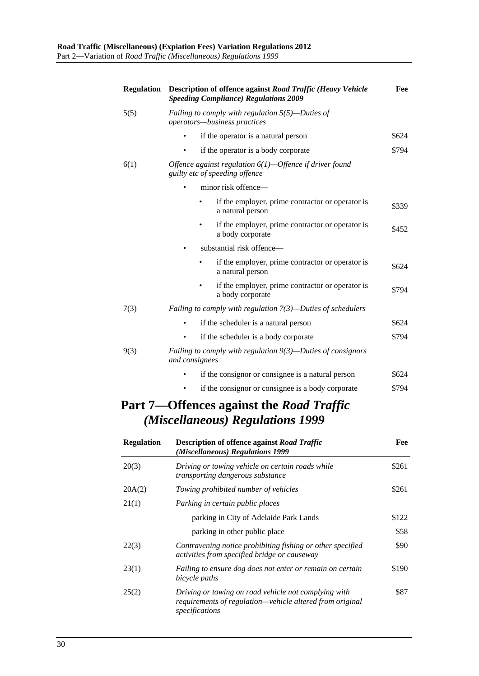| <b>Regulation</b> | <b>Description of offence against Road Traffic (Heavy Vehicle</b><br><b>Speeding Compliance) Regulations 2009</b> |       |  |
|-------------------|-------------------------------------------------------------------------------------------------------------------|-------|--|
| 5(5)              | Failing to comply with regulation $5(5)$ —Duties of<br>operators-business practices                               |       |  |
|                   | if the operator is a natural person                                                                               | \$624 |  |
|                   | if the operator is a body corporate                                                                               | \$794 |  |
| 6(1)              | Offence against regulation $6(1)$ —Offence if driver found<br>guilty etc of speeding offence                      |       |  |
|                   | minor risk offence-                                                                                               |       |  |
|                   | if the employer, prime contractor or operator is<br>a natural person                                              | \$339 |  |
|                   | if the employer, prime contractor or operator is<br>a body corporate                                              | \$452 |  |
|                   | substantial risk offence—                                                                                         |       |  |
|                   | if the employer, prime contractor or operator is<br>a natural person                                              | \$624 |  |
|                   | if the employer, prime contractor or operator is<br>a body corporate                                              | \$794 |  |
| 7(3)              | Failing to comply with regulation $7(3)$ —Duties of schedulers                                                    |       |  |
|                   | if the scheduler is a natural person                                                                              | \$624 |  |
|                   | if the scheduler is a body corporate                                                                              | \$794 |  |
| 9(3)              | Failing to comply with regulation $9(3)$ —Duties of consignors<br>and consignees                                  |       |  |
|                   | if the consignor or consignee is a natural person                                                                 | \$624 |  |
|                   | if the consignor or consignee is a body corporate                                                                 | \$794 |  |
|                   | Part 7—Offences against the Road Traffic<br>(Miscellaneous) Regulations 1999                                      |       |  |

| <b>Regulation</b> | <b>Description of offence against Road Traffic</b><br>(Miscellaneous) Regulations 1999                                             | Fee   |
|-------------------|------------------------------------------------------------------------------------------------------------------------------------|-------|
| 20(3)             | Driving or towing vehicle on certain roads while<br>transporting dangerous substance                                               | \$261 |
| 20A(2)            | Towing prohibited number of vehicles                                                                                               | \$261 |
| 21(1)             | Parking in certain public places                                                                                                   |       |
|                   | parking in City of Adelaide Park Lands                                                                                             | \$122 |
|                   | parking in other public place                                                                                                      | \$58  |
| 22(3)             | Contravening notice prohibiting fishing or other specified<br>activities from specified bridge or causeway                         | \$90  |
| 23(1)             | Failing to ensure dog does not enter or remain on certain<br>bicycle paths                                                         | \$190 |
| 25(2)             | Driving or towing on road vehicle not complying with<br>requirements of regulation—vehicle altered from original<br>specifications | \$87  |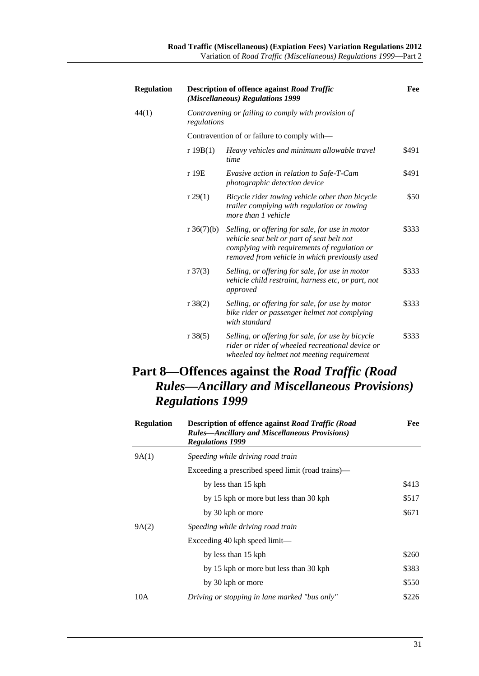| <b>Regulation</b> |                     | <b>Description of offence against Road Traffic</b><br>(Miscellaneous) Regulations 1999                                                                                                         | Fee   |
|-------------------|---------------------|------------------------------------------------------------------------------------------------------------------------------------------------------------------------------------------------|-------|
| 44(1)             | regulations         | Contravening or failing to comply with provision of                                                                                                                                            |       |
|                   |                     | Contravention of or failure to comply with—                                                                                                                                                    |       |
|                   | r 19B(1)            | Heavy vehicles and minimum allowable travel<br>time                                                                                                                                            | \$491 |
|                   | r 19E               | <i>Evasive action in relation to Safe-T-Cam</i><br><i>photographic detection device</i>                                                                                                        | \$491 |
|                   | r 29(1)             | Bicycle rider towing vehicle other than bicycle<br><i>trailer complying with regulation or towing</i><br>more than 1 vehicle                                                                   | \$50  |
|                   | r $36(7)(b)$        | Selling, or offering for sale, for use in motor<br>vehicle seat belt or part of seat belt not<br>complying with requirements of regulation or<br>removed from vehicle in which previously used | \$333 |
|                   | $r \frac{37(3)}{2}$ | Selling, or offering for sale, for use in motor<br>vehicle child restraint, harness etc, or part, not<br>approved                                                                              | \$333 |
|                   | $r \, 38(2)$        | Selling, or offering for sale, for use by motor<br>bike rider or passenger helmet not complying<br>with standard                                                                               | \$333 |
|                   | $r \, 38(5)$        | Selling, or offering for sale, for use by bicycle<br>rider or rider of wheeled recreational device or<br>wheeled toy helmet not meeting requirement                                            | \$333 |

 $\overline{\phantom{0}}$ 

## **Part 8—Offences against the** *Road Traffic (Road Rules—Ancillary and Miscellaneous Provisions) Regulations 1999*

| <b>Regulation</b> | <b>Description of offence against Road Traffic (Road</b><br><b>Rules-Ancillary and Miscellaneous Provisions</b> )<br><b>Regulations 1999</b> | Fee   |
|-------------------|----------------------------------------------------------------------------------------------------------------------------------------------|-------|
| 9A(1)             | Speeding while driving road train                                                                                                            |       |
|                   | Exceeding a prescribed speed limit (road trains)—                                                                                            |       |
|                   | by less than 15 kph                                                                                                                          | \$413 |
|                   | by 15 kph or more but less than 30 kph                                                                                                       | \$517 |
|                   | by 30 kph or more                                                                                                                            | \$671 |
| 9A(2)             | Speeding while driving road train                                                                                                            |       |
|                   | Exceeding 40 kph speed $limit$                                                                                                               |       |
|                   | by less than 15 kph                                                                                                                          | \$260 |
|                   | by 15 kph or more but less than 30 kph                                                                                                       | \$383 |
|                   | by 30 kph or more                                                                                                                            | \$550 |
| 10A               | Driving or stopping in lane marked "bus only"                                                                                                | \$226 |